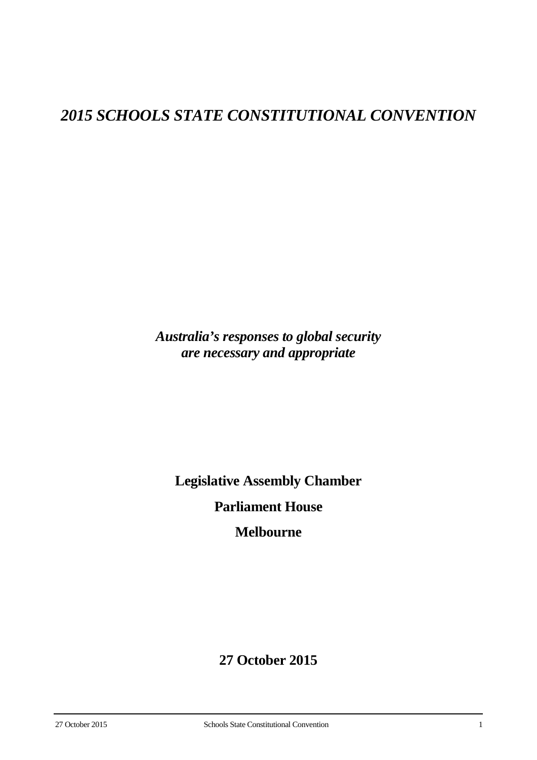# *2015 SCHOOLS STATE CONSTITUTIONAL CONVENTION*

*Australia's responses to global security are necessary and appropriate*

**Legislative Assembly Chamber**

**Parliament House**

**Melbourne**

# **27 October 2015**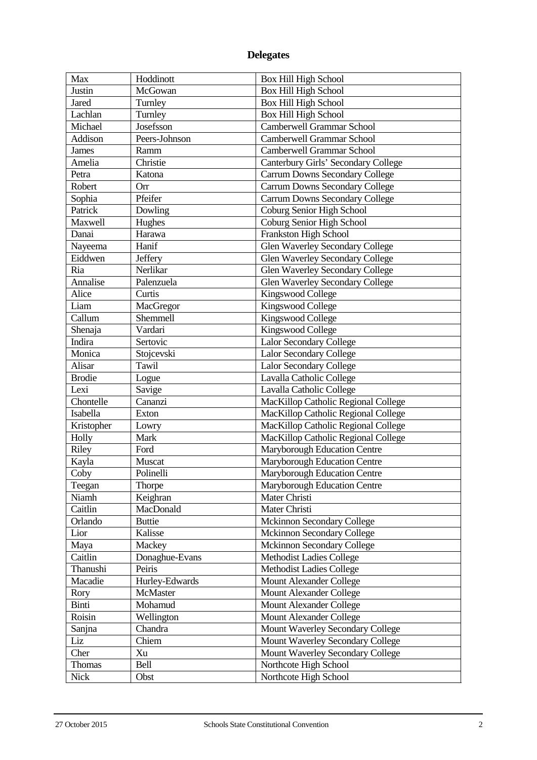# **Delegates**

| Max               | Hoddinott           | <b>Box Hill High School</b>             |
|-------------------|---------------------|-----------------------------------------|
| Justin            | McGowan             | <b>Box Hill High School</b>             |
| Jared             | Turnley             | Box Hill High School                    |
| Lachlan           | Turnley             | <b>Box Hill High School</b>             |
| Michael           | Josefsson           | Camberwell Grammar School               |
| Addison           | Peers-Johnson       | Camberwell Grammar School               |
| James             | Ramm                | Camberwell Grammar School               |
| Amelia            | Christie            | Canterbury Girls' Secondary College     |
| Petra             | Katona              | <b>Carrum Downs Secondary College</b>   |
| Robert            | Orr                 | <b>Carrum Downs Secondary College</b>   |
| Sophia            | Pfeifer             | <b>Carrum Downs Secondary College</b>   |
| Patrick           | Dowling             | Coburg Senior High School               |
| Maxwell           | Hughes              | Coburg Senior High School               |
| Danai             | Harawa              | Frankston High School                   |
| Nayeema           | Hanif               | <b>Glen Waverley Secondary College</b>  |
| Eiddwen           | Jeffery             | <b>Glen Waverley Secondary College</b>  |
| Ria               | Nerlikar            | <b>Glen Waverley Secondary College</b>  |
| Annalise          | Palenzuela          | <b>Glen Waverley Secondary College</b>  |
| Alice             | Curtis              | Kingswood College                       |
| Liam              | MacGregor           | Kingswood College                       |
| Callum            | Shemmell            | Kingswood College                       |
|                   |                     | Kingswood College                       |
| Shenaja<br>Indira | Vardari<br>Sertovic | <b>Lalor Secondary College</b>          |
| Monica            |                     |                                         |
|                   | Stojcevski          | <b>Lalor Secondary College</b>          |
| Alisar            | Tawil               | <b>Lalor Secondary College</b>          |
| <b>Brodie</b>     | Logue               | Lavalla Catholic College                |
| Lexi              | Savige              | Lavalla Catholic College                |
| Chontelle         | Cananzi             | MacKillop Catholic Regional College     |
| Isabella          | Exton               | MacKillop Catholic Regional College     |
| Kristopher        | Lowry               | MacKillop Catholic Regional College     |
| Holly             | Mark                | MacKillop Catholic Regional College     |
| Riley             | Ford                | Maryborough Education Centre            |
| Kayla             | Muscat              | Maryborough Education Centre            |
| Coby              | Polinelli           | Maryborough Education Centre            |
| Teegan            | Thorpe              | Maryborough Education Centre            |
| Niamh             | Keighran            | Mater Christi                           |
| Caitlin           | MacDonald           | Mater Christi                           |
| Orlando           | <b>Buttie</b>       | <b>Mckinnon Secondary College</b>       |
| Lior              | Kalisse             | Mckinnon Secondary College              |
| Maya              | Mackey              | Mckinnon Secondary College              |
| Caitlin           | Donaghue-Evans      | <b>Methodist Ladies College</b>         |
| Thanushi          | Peiris              | Methodist Ladies College                |
| Macadie           | Hurley-Edwards      | Mount Alexander College                 |
| Rory              | McMaster            | Mount Alexander College                 |
| Binti             | Mohamud             | Mount Alexander College                 |
| Roisin            | Wellington          | Mount Alexander College                 |
| Sanjna            | Chandra             | <b>Mount Waverley Secondary College</b> |
| Liz               | Chiem               | Mount Waverley Secondary College        |
| Cher              | Xu                  | Mount Waverley Secondary College        |
| Thomas            | Bell                | Northcote High School                   |
| Nick              | Obst                | Northcote High School                   |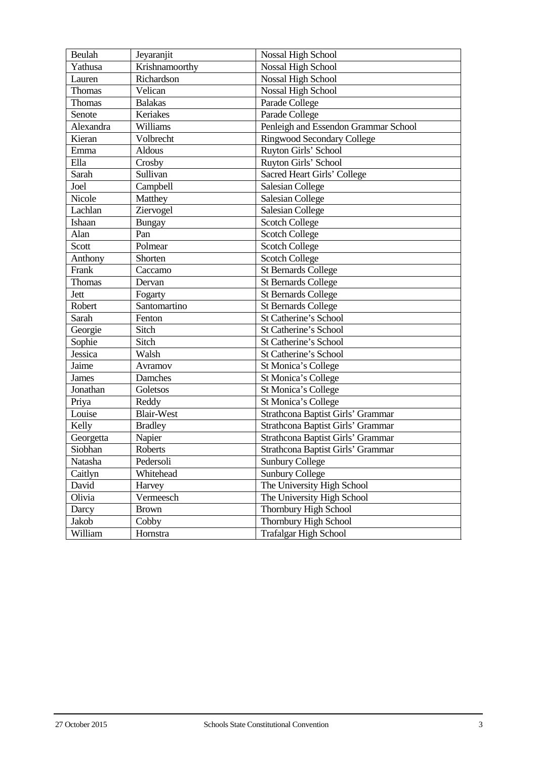| Beulah    | Jeyaranjit        | Nossal High School                   |
|-----------|-------------------|--------------------------------------|
| Yathusa   | Krishnamoorthy    | Nossal High School                   |
| Lauren    | Richardson        | <b>Nossal High School</b>            |
| Thomas    | Velican           | <b>Nossal High School</b>            |
| Thomas    | <b>Balakas</b>    | Parade College                       |
| Senote    | Keriakes          | Parade College                       |
| Alexandra | Williams          | Penleigh and Essendon Grammar School |
| Kieran    | Volbrecht         | <b>Ringwood Secondary College</b>    |
| Emma      | Aldous            | Ruyton Girls' School                 |
| Ella      | Crosby            | Ruyton Girls' School                 |
| Sarah     | Sullivan          | Sacred Heart Girls' College          |
| Joel      | Campbell          | Salesian College                     |
| Nicole    | Matthey           | <b>Salesian College</b>              |
| Lachlan   | Ziervogel         | <b>Salesian College</b>              |
| Ishaan    | <b>Bungay</b>     | <b>Scotch College</b>                |
| Alan      | Pan               | <b>Scotch College</b>                |
| Scott     | Polmear           | <b>Scotch College</b>                |
| Anthony   | Shorten           | <b>Scotch College</b>                |
| Frank     | Caccamo           | <b>St Bernards College</b>           |
| Thomas    | Dervan            | <b>St Bernards College</b>           |
| Jett      | Fogarty           | <b>St Bernards College</b>           |
| Robert    | Santomartino      | <b>St Bernards College</b>           |
| Sarah     | Fenton            | St Catherine's School                |
| Georgie   | Sitch             | St Catherine's School                |
| Sophie    | Sitch             | St Catherine's School                |
| Jessica   | Walsh             | St Catherine's School                |
| Jaime     | Avramov           | St Monica's College                  |
| James     | Damches           | St Monica's College                  |
| Jonathan  | Goletsos          | St Monica's College                  |
| Priya     | Reddy             | St Monica's College                  |
| Louise    | <b>Blair-West</b> | Strathcona Baptist Girls' Grammar    |
| Kelly     | <b>Bradley</b>    | Strathcona Baptist Girls' Grammar    |
| Georgetta | Napier            | Strathcona Baptist Girls' Grammar    |
| Siobhan   | Roberts           | Strathcona Baptist Girls' Grammar    |
| Natasha   | Pedersoli         | <b>Sunbury College</b>               |
| Caitlyn   | Whitehead         | <b>Sunbury College</b>               |
| David     | Harvey            | The University High School           |
| Olivia    | Vermeesch         | The University High School           |
| Darcy     | <b>Brown</b>      | Thornbury High School                |
| Jakob     | Cobby             | Thornbury High School                |
| William   | Hornstra          | <b>Trafalgar High School</b>         |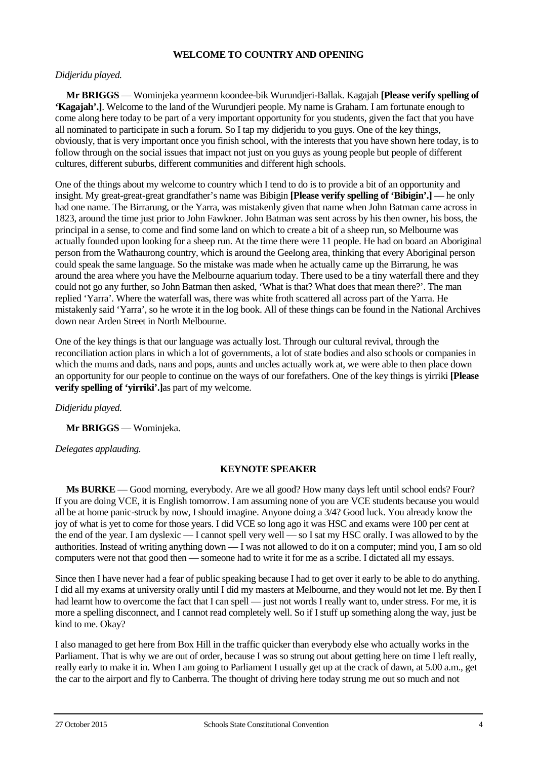### **WELCOME TO COUNTRY AND OPENING**

### *Didjeridu played.*

**Mr BRIGGS** — Wominjeka yearmenn koondee-bik Wurundjeri-Ballak. Kagajah **[Please verify spelling of 'Kagajah'.]**. Welcome to the land of the Wurundjeri people. My name is Graham. I am fortunate enough to come along here today to be part of a very important opportunity for you students, given the fact that you have all nominated to participate in such a forum. So I tap my didjeridu to you guys. One of the key things, obviously, that is very important once you finish school, with the interests that you have shown here today, is to follow through on the social issues that impact not just on you guys as young people but people of different cultures, different suburbs, different communities and different high schools.

One of the things about my welcome to country which I tend to do is to provide a bit of an opportunity and insight. My great-great-great grandfather's name was Bibigin **[Please verify spelling of 'Bibigin'.]** — he only had one name. The Birrarung, or the Yarra, was mistakenly given that name when John Batman came across in 1823, around the time just prior to John Fawkner. John Batman was sent across by his then owner, his boss, the principal in a sense, to come and find some land on which to create a bit of a sheep run, so Melbourne was actually founded upon looking for a sheep run. At the time there were 11 people. He had on board an Aboriginal person from the Wathaurong country, which is around the Geelong area, thinking that every Aboriginal person could speak the same language. So the mistake was made when he actually came up the Birrarung, he was around the area where you have the Melbourne aquarium today. There used to be a tiny waterfall there and they could not go any further, so John Batman then asked, 'What is that? What does that mean there?'. The man replied 'Yarra'. Where the waterfall was, there was white froth scattered all across part of the Yarra. He mistakenly said 'Yarra', so he wrote it in the log book. All of these things can be found in the National Archives down near Arden Street in North Melbourne.

One of the key things is that our language was actually lost. Through our cultural revival, through the reconciliation action plans in which a lot of governments, a lot of state bodies and also schools or companies in which the mums and dads, nans and pops, aunts and uncles actually work at, we were able to then place down an opportunity for our people to continue on the ways of our forefathers. One of the key things is yirriki **[Please verify spelling of 'yirriki'.]**as part of my welcome.

*Didjeridu played.*

**Mr BRIGGS** — Wominjeka.

### *Delegates applauding.*

# **KEYNOTE SPEAKER**

**Ms BURKE** — Good morning, everybody. Are we all good? How many days left until school ends? Four? If you are doing VCE, it is English tomorrow. I am assuming none of you are VCE students because you would all be at home panic-struck by now, I should imagine. Anyone doing a 3/4? Good luck. You already know the joy of what is yet to come for those years. I did VCE so long ago it was HSC and exams were 100 per cent at the end of the year. I am dyslexic — I cannot spell very well — so I sat my HSC orally. I was allowed to by the authorities. Instead of writing anything down — I was not allowed to do it on a computer; mind you, I am so old computers were not that good then — someone had to write it for me as a scribe. I dictated all my essays.

Since then I have never had a fear of public speaking because I had to get over it early to be able to do anything. I did all my exams at university orally until I did my masters at Melbourne, and they would not let me. By then I had learnt how to overcome the fact that I can spell — just not words I really want to, under stress. For me, it is more a spelling disconnect, and I cannot read completely well. So if I stuff up something along the way, just be kind to me. Okay?

I also managed to get here from Box Hill in the traffic quicker than everybody else who actually works in the Parliament. That is why we are out of order, because I was so strung out about getting here on time I left really, really early to make it in. When I am going to Parliament I usually get up at the crack of dawn, at 5.00 a.m., get the car to the airport and fly to Canberra. The thought of driving here today strung me out so much and not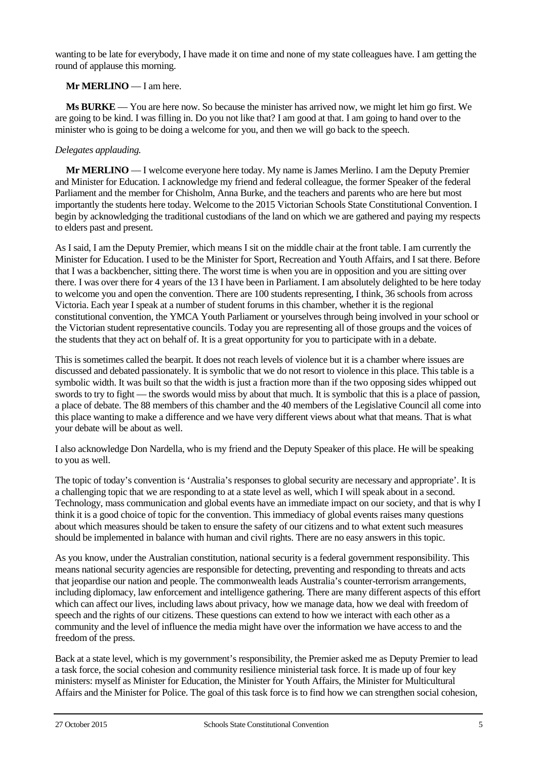wanting to be late for everybody, I have made it on time and none of my state colleagues have. I am getting the round of applause this morning.

# **Mr MERLINO** — I am here.

**Ms BURKE** — You are here now. So because the minister has arrived now, we might let him go first. We are going to be kind. I was filling in. Do you not like that? I am good at that. I am going to hand over to the minister who is going to be doing a welcome for you, and then we will go back to the speech.

### *Delegates applauding.*

**Mr MERLINO** — I welcome everyone here today. My name is James Merlino. I am the Deputy Premier and Minister for Education. I acknowledge my friend and federal colleague, the former Speaker of the federal Parliament and the member for Chisholm, Anna Burke, and the teachers and parents who are here but most importantly the students here today. Welcome to the 2015 Victorian Schools State Constitutional Convention. I begin by acknowledging the traditional custodians of the land on which we are gathered and paying my respects to elders past and present.

As I said, I am the Deputy Premier, which means I sit on the middle chair at the front table. I am currently the Minister for Education. I used to be the Minister for Sport, Recreation and Youth Affairs, and I sat there. Before that I was a backbencher, sitting there. The worst time is when you are in opposition and you are sitting over there. I was over there for 4 years of the 13 I have been in Parliament. I am absolutely delighted to be here today to welcome you and open the convention. There are 100 students representing, I think, 36 schools from across Victoria. Each year I speak at a number of student forums in this chamber, whether it is the regional constitutional convention, the YMCA Youth Parliament or yourselves through being involved in your school or the Victorian student representative councils. Today you are representing all of those groups and the voices of the students that they act on behalf of. It is a great opportunity for you to participate with in a debate.

This is sometimes called the bearpit. It does not reach levels of violence but it is a chamber where issues are discussed and debated passionately. It is symbolic that we do not resort to violence in this place. This table is a symbolic width. It was built so that the width is just a fraction more than if the two opposing sides whipped out swords to try to fight — the swords would miss by about that much. It is symbolic that this is a place of passion, a place of debate. The 88 members of this chamber and the 40 members of the Legislative Council all come into this place wanting to make a difference and we have very different views about what that means. That is what your debate will be about as well.

I also acknowledge Don Nardella, who is my friend and the Deputy Speaker of this place. He will be speaking to you as well.

The topic of today's convention is 'Australia's responses to global security are necessary and appropriate'. It is a challenging topic that we are responding to at a state level as well, which I will speak about in a second. Technology, mass communication and global events have an immediate impact on our society, and that is why I think it is a good choice of topic for the convention. This immediacy of global events raises many questions about which measures should be taken to ensure the safety of our citizens and to what extent such measures should be implemented in balance with human and civil rights. There are no easy answers in this topic.

As you know, under the Australian constitution, national security is a federal government responsibility. This means national security agencies are responsible for detecting, preventing and responding to threats and acts that jeopardise our nation and people. The commonwealth leads Australia's counter-terrorism arrangements, including diplomacy, law enforcement and intelligence gathering. There are many different aspects of this effort which can affect our lives, including laws about privacy, how we manage data, how we deal with freedom of speech and the rights of our citizens. These questions can extend to how we interact with each other as a community and the level of influence the media might have over the information we have access to and the freedom of the press.

Back at a state level, which is my government's responsibility, the Premier asked me as Deputy Premier to lead a task force, the social cohesion and community resilience ministerial task force. It is made up of four key ministers: myself as Minister for Education, the Minister for Youth Affairs, the Minister for Multicultural Affairs and the Minister for Police. The goal of this task force is to find how we can strengthen social cohesion,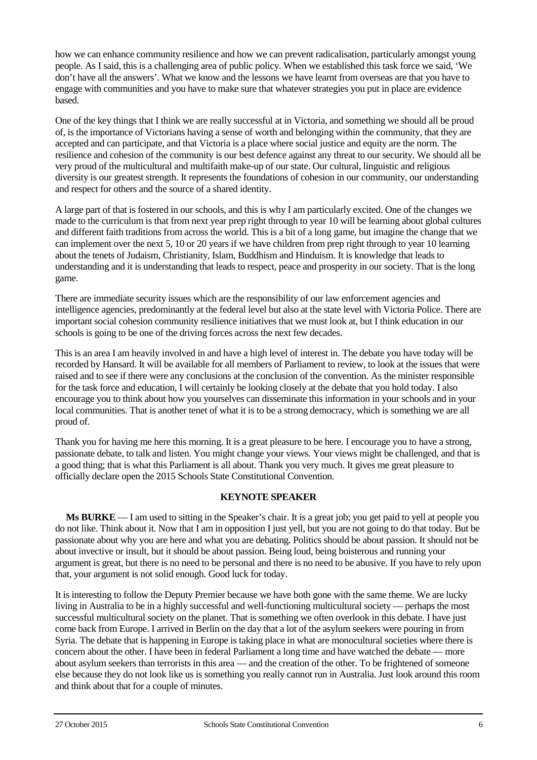how we can enhance community resilience and how we can prevent radicalisation, particularly amongst young people. As I said, this is a challenging area of public policy. When we established this task force we said, 'We don't have all the answers'. What we know and the lessons we have learnt from overseas are that you have to engage with communities and you have to make sure that whatever strategies you put in place are evidence based.

One of the key things that I think we are really successful at in Victoria, and something we should all be proud of, is the importance of Victorians having a sense of worth and belonging within the community, that they are accepted and can participate, and that Victoria is a place where social justice and equity are the norm. The resilience and cohesion of the community is our best defence against any threat to our security. We should all be very proud of the multicultural and multifaith make-up of our state. Our cultural, linguistic and religious diversity is our greatest strength. It represents the foundations of cohesion in our community, our understanding and respect for others and the source of a shared identity.

A large part of that is fostered in our schools, and this is why I am particularly excited. One of the changes we made to the curriculum is that from next year prep right through to year 10 will be learning about global cultures and different faith traditions from across the world. This is a bit of a long game, but imagine the change that we can implement over the next 5, 10 or 20 years if we have children from prep right through to year 10 learning about the tenets of Judaism, Christianity, Islam, Buddhism and Hinduism. It is knowledge that leads to understanding and it is understanding that leads to respect, peace and prosperity in our society. That is the long game.

There are immediate security issues which are the responsibility of our law enforcement agencies and intelligence agencies, predominantly at the federal level but also at the state level with Victoria Police. There are important social cohesion community resilience initiatives that we must look at, but I think education in our schools is going to be one of the driving forces across the next few decades.

This is an area I am heavily involved in and have a high level of interest in. The debate you have today will be recorded by Hansard. It will be available for all members of Parliament to review, to look at the issues that were raised and to see if there were any conclusions at the conclusion of the convention. As the minister responsible for the task force and education, I will certainly be looking closely at the debate that you hold today. I also encourage you to think about how you yourselves can disseminate this information in your schools and in your local communities. That is another tenet of what it is to be a strong democracy, which is something we are all proud of.

Thank you for having me here this morning. It is a great pleasure to be here. I encourage you to have a strong, passionate debate, to talk and listen. You might change your views. Your views might be challenged, and that is a good thing; that is what this Parliament is all about. Thank you very much. It gives me great pleasure to officially declare open the 2015 Schools State Constitutional Convention.

# **KEYNOTE SPEAKER**

**Ms BURKE** — I am used to sitting in the Speaker's chair. It is a great job; you get paid to yell at people you do not like. Think about it. Now that I am in opposition I just yell, but you are not going to do that today. But be passionate about why you are here and what you are debating. Politics should be about passion. It should not be about invective or insult, but it should be about passion. Being loud, being boisterous and running your argument is great, but there is no need to be personal and there is no need to be abusive. If you have to rely upon that, your argument is not solid enough. Good luck for today.

It is interesting to follow the Deputy Premier because we have both gone with the same theme. We are lucky living in Australia to be in a highly successful and well-functioning multicultural society — perhaps the most successful multicultural society on the planet. That is something we often overlook in this debate. I have just come back from Europe. I arrived in Berlin on the day that a lot of the asylum seekers were pouring in from Syria. The debate that is happening in Europe is taking place in what are monocultural societies where there is concern about the other. I have been in federal Parliament a long time and have watched the debate — more about asylum seekers than terrorists in this area — and the creation of the other. To be frightened of someone else because they do not look like us is something you really cannot run in Australia. Just look around this room and think about that for a couple of minutes.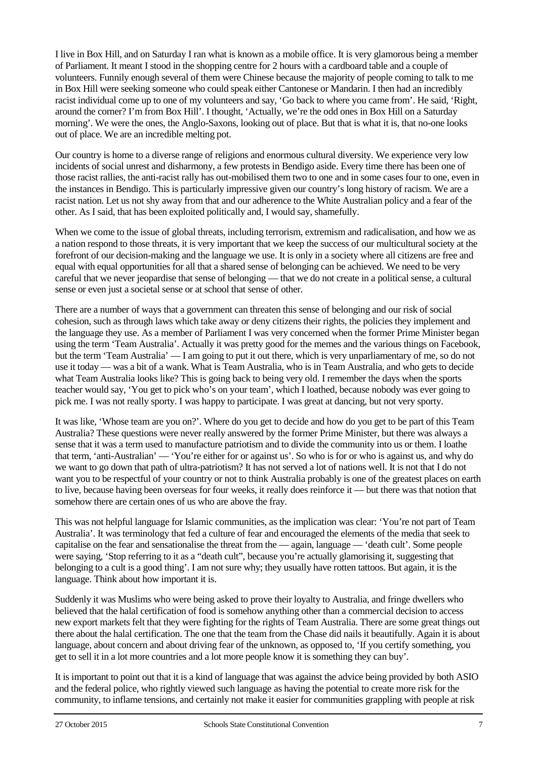I live in Box Hill, and on Saturday I ran what is known as a mobile office. It is very glamorous being a member of Parliament. It meant I stood in the shopping centre for 2 hours with a cardboard table and a couple of volunteers. Funnily enough several of them were Chinese because the majority of people coming to talk to me in Box Hill were seeking someone who could speak either Cantonese or Mandarin. I then had an incredibly racist individual come up to one of my volunteers and say, 'Go back to where you came from'. He said, 'Right, around the corner? I'm from Box Hill'. I thought, 'Actually, we're the odd ones in Box Hill on a Saturday morning'. We were the ones, the Anglo-Saxons, looking out of place. But that is what it is, that no-one looks out of place. We are an incredible melting pot.

Our country is home to a diverse range of religions and enormous cultural diversity. We experience very low incidents of social unrest and disharmony, a few protests in Bendigo aside. Every time there has been one of those racist rallies, the anti-racist rally has out-mobilised them two to one and in some cases four to one, even in the instances in Bendigo. This is particularly impressive given our country's long history of racism. We are a racist nation. Let us not shy away from that and our adherence to the White Australian policy and a fear of the other. As I said, that has been exploited politically and, I would say, shamefully.

When we come to the issue of global threats, including terrorism, extremism and radicalisation, and how we as a nation respond to those threats, it is very important that we keep the success of our multicultural society at the forefront of our decision-making and the language we use. It is only in a society where all citizens are free and equal with equal opportunities for all that a shared sense of belonging can be achieved. We need to be very careful that we never jeopardise that sense of belonging — that we do not create in a political sense, a cultural sense or even just a societal sense or at school that sense of other.

There are a number of ways that a government can threaten this sense of belonging and our risk of social cohesion, such as through laws which take away or deny citizens their rights, the policies they implement and the language they use. As a member of Parliament I was very concerned when the former Prime Minister began using the term 'Team Australia'. Actually it was pretty good for the memes and the various things on Facebook, but the term 'Team Australia' — I am going to put it out there, which is very unparliamentary of me, so do not use it today — was a bit of a wank. What is Team Australia, who is in Team Australia, and who gets to decide what Team Australia looks like? This is going back to being very old. I remember the days when the sports teacher would say, 'You get to pick who's on your team', which I loathed, because nobody was ever going to pick me. I was not really sporty. I was happy to participate. I was great at dancing, but not very sporty.

It was like, 'Whose team are you on?'. Where do you get to decide and how do you get to be part of this Team Australia? These questions were never really answered by the former Prime Minister, but there was always a sense that it was a term used to manufacture patriotism and to divide the community into us or them. I loathe that term, 'anti-Australian' — 'You're either for or against us'. So who is for or who is against us, and why do we want to go down that path of ultra-patriotism? It has not served a lot of nations well. It is not that I do not want you to be respectful of your country or not to think Australia probably is one of the greatest places on earth to live, because having been overseas for four weeks, it really does reinforce it — but there was that notion that somehow there are certain ones of us who are above the fray.

This was not helpful language for Islamic communities, as the implication was clear: 'You're not part of Team Australia'. It was terminology that fed a culture of fear and encouraged the elements of the media that seek to capitalise on the fear and sensationalise the threat from the — again, language — 'death cult'. Some people were saying, 'Stop referring to it as a "death cult", because you're actually glamorising it, suggesting that belonging to a cult is a good thing'. I am not sure why; they usually have rotten tattoos. But again, it is the language. Think about how important it is.

Suddenly it was Muslims who were being asked to prove their loyalty to Australia, and fringe dwellers who believed that the halal certification of food is somehow anything other than a commercial decision to access new export markets felt that they were fighting for the rights of Team Australia. There are some great things out there about the halal certification. The one that the team from the Chase did nails it beautifully. Again it is about language, about concern and about driving fear of the unknown, as opposed to, 'If you certify something, you get to sell it in a lot more countries and a lot more people know it is something they can buy'.

It is important to point out that it is a kind of language that was against the advice being provided by both ASIO and the federal police, who rightly viewed such language as having the potential to create more risk for the community, to inflame tensions, and certainly not make it easier for communities grappling with people at risk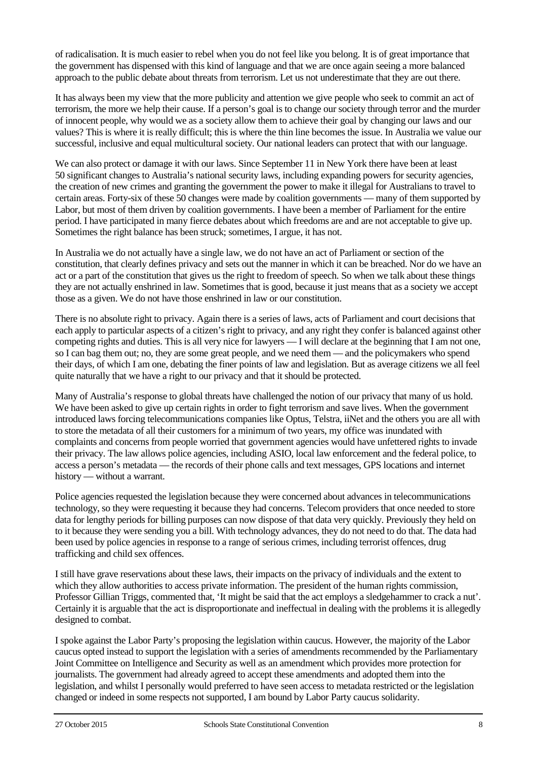of radicalisation. It is much easier to rebel when you do not feel like you belong. It is of great importance that the government has dispensed with this kind of language and that we are once again seeing a more balanced approach to the public debate about threats from terrorism. Let us not underestimate that they are out there.

It has always been my view that the more publicity and attention we give people who seek to commit an act of terrorism, the more we help their cause. If a person's goal is to change our society through terror and the murder of innocent people, why would we as a society allow them to achieve their goal by changing our laws and our values? This is where it is really difficult; this is where the thin line becomes the issue. In Australia we value our successful, inclusive and equal multicultural society. Our national leaders can protect that with our language.

We can also protect or damage it with our laws. Since September 11 in New York there have been at least 50 significant changes to Australia's national security laws, including expanding powers for security agencies, the creation of new crimes and granting the government the power to make it illegal for Australians to travel to certain areas. Forty-six of these 50 changes were made by coalition governments — many of them supported by Labor, but most of them driven by coalition governments. I have been a member of Parliament for the entire period. I have participated in many fierce debates about which freedoms are and are not acceptable to give up. Sometimes the right balance has been struck; sometimes, I argue, it has not.

In Australia we do not actually have a single law, we do not have an act of Parliament or section of the constitution, that clearly defines privacy and sets out the manner in which it can be breached. Nor do we have an act or a part of the constitution that gives us the right to freedom of speech. So when we talk about these things they are not actually enshrined in law. Sometimes that is good, because it just means that as a society we accept those as a given. We do not have those enshrined in law or our constitution.

There is no absolute right to privacy. Again there is a series of laws, acts of Parliament and court decisions that each apply to particular aspects of a citizen's right to privacy, and any right they confer is balanced against other competing rights and duties. This is all very nice for lawyers — I will declare at the beginning that I am not one, so I can bag them out; no, they are some great people, and we need them — and the policymakers who spend their days, of which I am one, debating the finer points of law and legislation. But as average citizens we all feel quite naturally that we have a right to our privacy and that it should be protected.

Many of Australia's response to global threats have challenged the notion of our privacy that many of us hold. We have been asked to give up certain rights in order to fight terrorism and save lives. When the government introduced laws forcing telecommunications companies like Optus, Telstra, iiNet and the others you are all with to store the metadata of all their customers for a minimum of two years, my office was inundated with complaints and concerns from people worried that government agencies would have unfettered rights to invade their privacy. The law allows police agencies, including ASIO, local law enforcement and the federal police, to access a person's metadata — the records of their phone calls and text messages, GPS locations and internet history — without a warrant.

Police agencies requested the legislation because they were concerned about advances in telecommunications technology, so they were requesting it because they had concerns. Telecom providers that once needed to store data for lengthy periods for billing purposes can now dispose of that data very quickly. Previously they held on to it because they were sending you a bill. With technology advances, they do not need to do that. The data had been used by police agencies in response to a range of serious crimes, including terrorist offences, drug trafficking and child sex offences.

I still have grave reservations about these laws, their impacts on the privacy of individuals and the extent to which they allow authorities to access private information. The president of the human rights commission, Professor Gillian Triggs, commented that, 'It might be said that the act employs a sledgehammer to crack a nut'. Certainly it is arguable that the act is disproportionate and ineffectual in dealing with the problems it is allegedly designed to combat.

I spoke against the Labor Party's proposing the legislation within caucus. However, the majority of the Labor caucus opted instead to support the legislation with a series of amendments recommended by the Parliamentary Joint Committee on Intelligence and Security as well as an amendment which provides more protection for journalists. The government had already agreed to accept these amendments and adopted them into the legislation, and whilst I personally would preferred to have seen access to metadata restricted or the legislation changed or indeed in some respects not supported, I am bound by Labor Party caucus solidarity.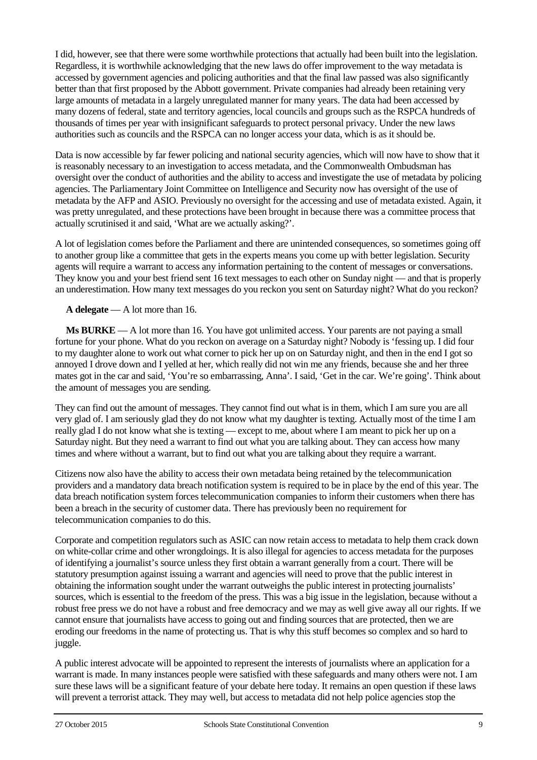I did, however, see that there were some worthwhile protections that actually had been built into the legislation. Regardless, it is worthwhile acknowledging that the new laws do offer improvement to the way metadata is accessed by government agencies and policing authorities and that the final law passed was also significantly better than that first proposed by the Abbott government. Private companies had already been retaining very large amounts of metadata in a largely unregulated manner for many years. The data had been accessed by many dozens of federal, state and territory agencies, local councils and groups such as the RSPCA hundreds of thousands of times per year with insignificant safeguards to protect personal privacy. Under the new laws authorities such as councils and the RSPCA can no longer access your data, which is as it should be.

Data is now accessible by far fewer policing and national security agencies, which will now have to show that it is reasonably necessary to an investigation to access metadata, and the Commonwealth Ombudsman has oversight over the conduct of authorities and the ability to access and investigate the use of metadata by policing agencies. The Parliamentary Joint Committee on Intelligence and Security now has oversight of the use of metadata by the AFP and ASIO. Previously no oversight for the accessing and use of metadata existed. Again, it was pretty unregulated, and these protections have been brought in because there was a committee process that actually scrutinised it and said, 'What are we actually asking?'.

A lot of legislation comes before the Parliament and there are unintended consequences, so sometimes going off to another group like a committee that gets in the experts means you come up with better legislation. Security agents will require a warrant to access any information pertaining to the content of messages or conversations. They know you and your best friend sent 16 text messages to each other on Sunday night — and that is properly an underestimation. How many text messages do you reckon you sent on Saturday night? What do you reckon?

**A delegate** — A lot more than 16.

**Ms BURKE** — A lot more than 16. You have got unlimited access. Your parents are not paying a small fortune for your phone. What do you reckon on average on a Saturday night? Nobody is 'fessing up. I did four to my daughter alone to work out what corner to pick her up on on Saturday night, and then in the end I got so annoyed I drove down and I yelled at her, which really did not win me any friends, because she and her three mates got in the car and said, 'You're so embarrassing, Anna'. I said, 'Get in the car. We're going'. Think about the amount of messages you are sending.

They can find out the amount of messages. They cannot find out what is in them, which I am sure you are all very glad of. I am seriously glad they do not know what my daughter is texting. Actually most of the time I am really glad I do not know what she is texting — except to me, about where I am meant to pick her up on a Saturday night. But they need a warrant to find out what you are talking about. They can access how many times and where without a warrant, but to find out what you are talking about they require a warrant.

Citizens now also have the ability to access their own metadata being retained by the telecommunication providers and a mandatory data breach notification system is required to be in place by the end of this year. The data breach notification system forces telecommunication companies to inform their customers when there has been a breach in the security of customer data. There has previously been no requirement for telecommunication companies to do this.

Corporate and competition regulators such as ASIC can now retain access to metadata to help them crack down on white-collar crime and other wrongdoings. It is also illegal for agencies to access metadata for the purposes of identifying a journalist's source unless they first obtain a warrant generally from a court. There will be statutory presumption against issuing a warrant and agencies will need to prove that the public interest in obtaining the information sought under the warrant outweighs the public interest in protecting journalists' sources, which is essential to the freedom of the press. This was a big issue in the legislation, because without a robust free press we do not have a robust and free democracy and we may as well give away all our rights. If we cannot ensure that journalists have access to going out and finding sources that are protected, then we are eroding our freedoms in the name of protecting us. That is why this stuff becomes so complex and so hard to juggle.

A public interest advocate will be appointed to represent the interests of journalists where an application for a warrant is made. In many instances people were satisfied with these safeguards and many others were not. I am sure these laws will be a significant feature of your debate here today. It remains an open question if these laws will prevent a terrorist attack. They may well, but access to metadata did not help police agencies stop the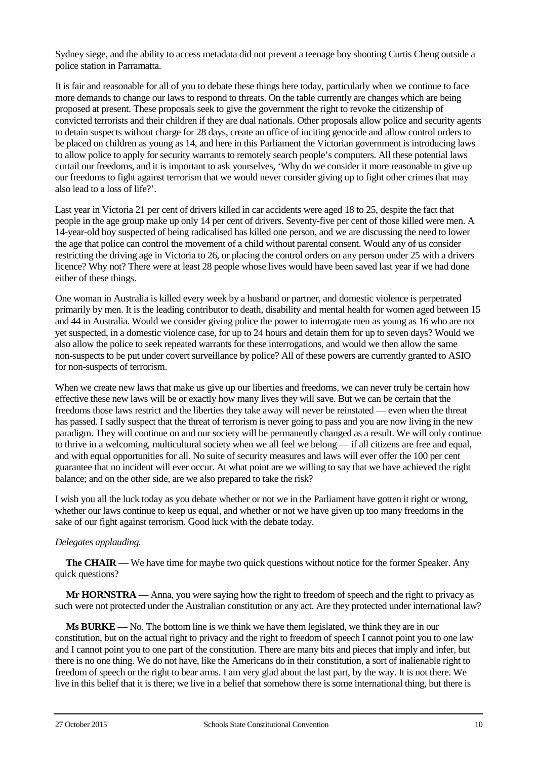Sydney siege, and the ability to access metadata did not prevent a teenage boy shooting Curtis Cheng outside a police station in Parramatta.

It is fair and reasonable for all of you to debate these things here today, particularly when we continue to face more demands to change our laws to respond to threats. On the table currently are changes which are being proposed at present. These proposals seek to give the government the right to revoke the citizenship of convicted terrorists and their children if they are dual nationals. Other proposals allow police and security agents to detain suspects without charge for 28 days, create an office of inciting genocide and allow control orders to be placed on children as young as 14, and here in this Parliament the Victorian government is introducing laws to allow police to apply for security warrants to remotely search people's computers. All these potential laws curtail our freedoms, and it is important to ask yourselves, 'Why do we consider it more reasonable to give up our freedoms to fight against terrorism that we would never consider giving up to fight other crimes that may also lead to a loss of life?'.

Last year in Victoria 21 per cent of drivers killed in car accidents were aged 18 to 25, despite the fact that people in the age group make up only 14 per cent of drivers. Seventy-five per cent of those killed were men. A 14-year-old boy suspected of being radicalised has killed one person, and we are discussing the need to lower the age that police can control the movement of a child without parental consent. Would any of us consider restricting the driving age in Victoria to 26, or placing the control orders on any person under 25 with a drivers licence? Why not? There were at least 28 people whose lives would have been saved last year if we had done either of these things.

One woman in Australia is killed every week by a husband or partner, and domestic violence is perpetrated primarily by men. It is the leading contributor to death, disability and mental health for women aged between 15 and 44 in Australia. Would we consider giving police the power to interrogate men as young as 16 who are not yet suspected, in a domestic violence case, for up to 24 hours and detain them for up to seven days? Would we also allow the police to seek repeated warrants for these interrogations, and would we then allow the same non-suspects to be put under covert surveillance by police? All of these powers are currently granted to ASIO for non-suspects of terrorism.

When we create new laws that make us give up our liberties and freedoms, we can never truly be certain how effective these new laws will be or exactly how many lives they will save. But we can be certain that the freedoms those laws restrict and the liberties they take away will never be reinstated — even when the threat has passed. I sadly suspect that the threat of terrorism is never going to pass and you are now living in the new paradigm. They will continue on and our society will be permanently changed as a result. We will only continue to thrive in a welcoming, multicultural society when we all feel we belong — if all citizens are free and equal, and with equal opportunities for all. No suite of security measures and laws will ever offer the 100 per cent guarantee that no incident will ever occur. At what point are we willing to say that we have achieved the right balance; and on the other side, are we also prepared to take the risk?

I wish you all the luck today as you debate whether or not we in the Parliament have gotten it right or wrong, whether our laws continue to keep us equal, and whether or not we have given up too many freedoms in the sake of our fight against terrorism. Good luck with the debate today.

# *Delegates applauding.*

**The CHAIR** — We have time for maybe two quick questions without notice for the former Speaker. Any quick questions?

**Mr HORNSTRA** — Anna, you were saying how the right to freedom of speech and the right to privacy as such were not protected under the Australian constitution or any act. Are they protected under international law?

**Ms BURKE** — No. The bottom line is we think we have them legislated, we think they are in our constitution, but on the actual right to privacy and the right to freedom of speech I cannot point you to one law and I cannot point you to one part of the constitution. There are many bits and pieces that imply and infer, but there is no one thing. We do not have, like the Americans do in their constitution, a sort of inalienable right to freedom of speech or the right to bear arms. I am very glad about the last part, by the way. It is not there. We live in this belief that it is there; we live in a belief that somehow there is some international thing, but there is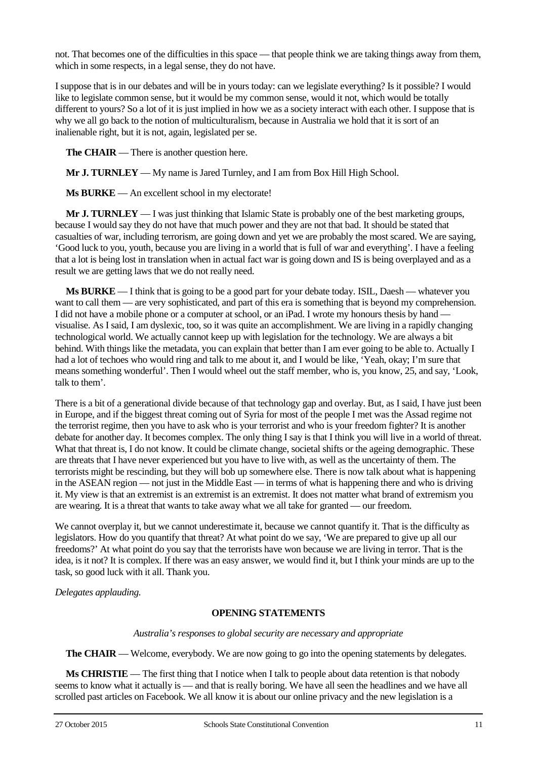not. That becomes one of the difficulties in this space — that people think we are taking things away from them, which in some respects, in a legal sense, they do not have.

I suppose that is in our debates and will be in yours today: can we legislate everything? Is it possible? I would like to legislate common sense, but it would be my common sense, would it not, which would be totally different to yours? So a lot of it is just implied in how we as a society interact with each other. I suppose that is why we all go back to the notion of multiculturalism, because in Australia we hold that it is sort of an inalienable right, but it is not, again, legislated per se.

**The CHAIR** — There is another question here.

**Mr J. TURNLEY** — My name is Jared Turnley, and I am from Box Hill High School.

**Ms BURKE** — An excellent school in my electorate!

**Mr J. TURNLEY** — I was just thinking that Islamic State is probably one of the best marketing groups, because I would say they do not have that much power and they are not that bad. It should be stated that casualties of war, including terrorism, are going down and yet we are probably the most scared. We are saying, 'Good luck to you, youth, because you are living in a world that is full of war and everything'. I have a feeling that a lot is being lost in translation when in actual fact war is going down and IS is being overplayed and as a result we are getting laws that we do not really need.

**Ms BURKE** — I think that is going to be a good part for your debate today. ISIL, Daesh — whatever you want to call them — are very sophisticated, and part of this era is something that is beyond my comprehension. I did not have a mobile phone or a computer at school, or an iPad. I wrote my honours thesis by hand visualise. As I said, I am dyslexic, too, so it was quite an accomplishment. We are living in a rapidly changing technological world. We actually cannot keep up with legislation for the technology. We are always a bit behind. With things like the metadata, you can explain that better than I am ever going to be able to. Actually I had a lot of techoes who would ring and talk to me about it, and I would be like, 'Yeah, okay; I'm sure that means something wonderful'. Then I would wheel out the staff member, who is, you know, 25, and say, 'Look, talk to them'.

There is a bit of a generational divide because of that technology gap and overlay. But, as I said, I have just been in Europe, and if the biggest threat coming out of Syria for most of the people I met was the Assad regime not the terrorist regime, then you have to ask who is your terrorist and who is your freedom fighter? It is another debate for another day. It becomes complex. The only thing I say is that I think you will live in a world of threat. What that threat is, I do not know. It could be climate change, societal shifts or the ageing demographic. These are threats that I have never experienced but you have to live with, as well as the uncertainty of them. The terrorists might be rescinding, but they will bob up somewhere else. There is now talk about what is happening in the ASEAN region — not just in the Middle East — in terms of what is happening there and who is driving it. My view is that an extremist is an extremist is an extremist. It does not matter what brand of extremism you are wearing. It is a threat that wants to take away what we all take for granted — our freedom.

We cannot overplay it, but we cannot underestimate it, because we cannot quantify it. That is the difficulty as legislators. How do you quantify that threat? At what point do we say, 'We are prepared to give up all our freedoms?' At what point do you say that the terrorists have won because we are living in terror. That is the idea, is it not? It is complex. If there was an easy answer, we would find it, but I think your minds are up to the task, so good luck with it all. Thank you.

*Delegates applauding.*

### **OPENING STATEMENTS**

*Australia's responses to global security are necessary and appropriate*

**The CHAIR** — Welcome, everybody. We are now going to go into the opening statements by delegates.

**Ms CHRISTIE** — The first thing that I notice when I talk to people about data retention is that nobody seems to know what it actually is — and that is really boring. We have all seen the headlines and we have all scrolled past articles on Facebook. We all know it is about our online privacy and the new legislation is a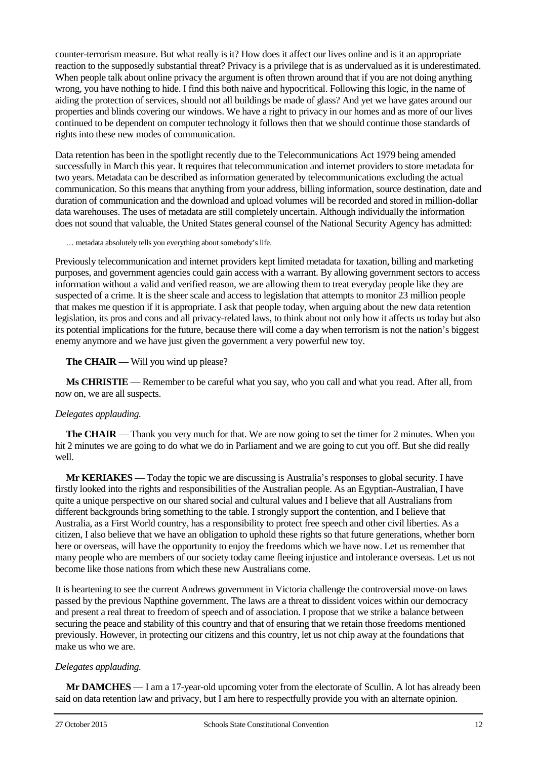counter-terrorism measure. But what really is it? How does it affect our lives online and is it an appropriate reaction to the supposedly substantial threat? Privacy is a privilege that is as undervalued as it is underestimated. When people talk about online privacy the argument is often thrown around that if you are not doing anything wrong, you have nothing to hide. I find this both naive and hypocritical. Following this logic, in the name of aiding the protection of services, should not all buildings be made of glass? And yet we have gates around our properties and blinds covering our windows. We have a right to privacy in our homes and as more of our lives continued to be dependent on computer technology it follows then that we should continue those standards of rights into these new modes of communication.

Data retention has been in the spotlight recently due to the Telecommunications Act 1979 being amended successfully in March this year. It requires that telecommunication and internet providers to store metadata for two years. Metadata can be described as information generated by telecommunications excluding the actual communication. So this means that anything from your address, billing information, source destination, date and duration of communication and the download and upload volumes will be recorded and stored in million-dollar data warehouses. The uses of metadata are still completely uncertain. Although individually the information does not sound that valuable, the United States general counsel of the National Security Agency has admitted:

… metadata absolutely tells you everything about somebody's life.

Previously telecommunication and internet providers kept limited metadata for taxation, billing and marketing purposes, and government agencies could gain access with a warrant. By allowing government sectors to access information without a valid and verified reason, we are allowing them to treat everyday people like they are suspected of a crime. It is the sheer scale and access to legislation that attempts to monitor 23 million people that makes me question if it is appropriate. I ask that people today, when arguing about the new data retention legislation, its pros and cons and all privacy-related laws, to think about not only how it affects us today but also its potential implications for the future, because there will come a day when terrorism is not the nation's biggest enemy anymore and we have just given the government a very powerful new toy.

### **The CHAIR** — Will you wind up please?

**Ms CHRISTIE** — Remember to be careful what you say, who you call and what you read. After all, from now on, we are all suspects.

# *Delegates applauding.*

**The CHAIR** — Thank you very much for that. We are now going to set the timer for 2 minutes. When you hit 2 minutes we are going to do what we do in Parliament and we are going to cut you off. But she did really well.

**Mr KERIAKES** — Today the topic we are discussing is Australia's responses to global security. I have firstly looked into the rights and responsibilities of the Australian people. As an Egyptian-Australian, I have quite a unique perspective on our shared social and cultural values and I believe that all Australians from different backgrounds bring something to the table. I strongly support the contention, and I believe that Australia, as a First World country, has a responsibility to protect free speech and other civil liberties. As a citizen, I also believe that we have an obligation to uphold these rights so that future generations, whether born here or overseas, will have the opportunity to enjoy the freedoms which we have now. Let us remember that many people who are members of our society today came fleeing injustice and intolerance overseas. Let us not become like those nations from which these new Australians come.

It is heartening to see the current Andrews government in Victoria challenge the controversial move-on laws passed by the previous Napthine government. The laws are a threat to dissident voices within our democracy and present a real threat to freedom of speech and of association. I propose that we strike a balance between securing the peace and stability of this country and that of ensuring that we retain those freedoms mentioned previously. However, in protecting our citizens and this country, let us not chip away at the foundations that make us who we are.

# *Delegates applauding.*

**Mr DAMCHES** — I am a 17-year-old upcoming voter from the electorate of Scullin. A lot has already been said on data retention law and privacy, but I am here to respectfully provide you with an alternate opinion.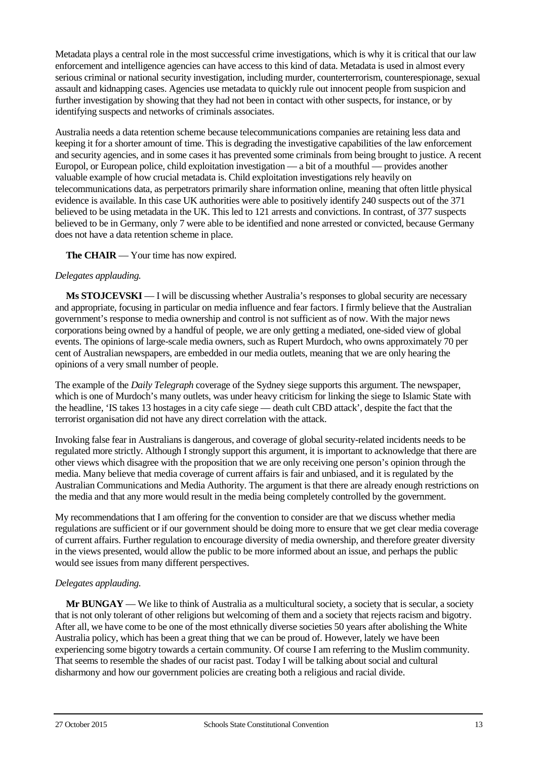Metadata plays a central role in the most successful crime investigations, which is why it is critical that our law enforcement and intelligence agencies can have access to this kind of data. Metadata is used in almost every serious criminal or national security investigation, including murder, counterterrorism, counterespionage, sexual assault and kidnapping cases. Agencies use metadata to quickly rule out innocent people from suspicion and further investigation by showing that they had not been in contact with other suspects, for instance, or by identifying suspects and networks of criminals associates.

Australia needs a data retention scheme because telecommunications companies are retaining less data and keeping it for a shorter amount of time. This is degrading the investigative capabilities of the law enforcement and security agencies, and in some cases it has prevented some criminals from being brought to justice. A recent Europol, or European police, child exploitation investigation — a bit of a mouthful — provides another valuable example of how crucial metadata is. Child exploitation investigations rely heavily on telecommunications data, as perpetrators primarily share information online, meaning that often little physical evidence is available. In this case UK authorities were able to positively identify 240 suspects out of the 371 believed to be using metadata in the UK. This led to 121 arrests and convictions. In contrast, of 377 suspects believed to be in Germany, only 7 were able to be identified and none arrested or convicted, because Germany does not have a data retention scheme in place.

**The CHAIR** — Your time has now expired.

### *Delegates applauding.*

**Ms STOJCEVSKI** — I will be discussing whether Australia's responses to global security are necessary and appropriate, focusing in particular on media influence and fear factors. I firmly believe that the Australian government's response to media ownership and control is not sufficient as of now. With the major news corporations being owned by a handful of people, we are only getting a mediated, one-sided view of global events. The opinions of large-scale media owners, such as Rupert Murdoch, who owns approximately 70 per cent of Australian newspapers, are embedded in our media outlets, meaning that we are only hearing the opinions of a very small number of people.

The example of the *Daily Telegraph* coverage of the Sydney siege supports this argument. The newspaper, which is one of Murdoch's many outlets, was under heavy criticism for linking the siege to Islamic State with the headline, 'IS takes 13 hostages in a city cafe siege — death cult CBD attack', despite the fact that the terrorist organisation did not have any direct correlation with the attack.

Invoking false fear in Australians is dangerous, and coverage of global security-related incidents needs to be regulated more strictly. Although I strongly support this argument, it is important to acknowledge that there are other views which disagree with the proposition that we are only receiving one person's opinion through the media. Many believe that media coverage of current affairs is fair and unbiased, and it is regulated by the Australian Communications and Media Authority. The argument is that there are already enough restrictions on the media and that any more would result in the media being completely controlled by the government.

My recommendations that I am offering for the convention to consider are that we discuss whether media regulations are sufficient or if our government should be doing more to ensure that we get clear media coverage of current affairs. Further regulation to encourage diversity of media ownership, and therefore greater diversity in the views presented, would allow the public to be more informed about an issue, and perhaps the public would see issues from many different perspectives.

# *Delegates applauding.*

**Mr BUNGAY** — We like to think of Australia as a multicultural society, a society that is secular, a society that is not only tolerant of other religions but welcoming of them and a society that rejects racism and bigotry. After all, we have come to be one of the most ethnically diverse societies 50 years after abolishing the White Australia policy, which has been a great thing that we can be proud of. However, lately we have been experiencing some bigotry towards a certain community. Of course I am referring to the Muslim community. That seems to resemble the shades of our racist past. Today I will be talking about social and cultural disharmony and how our government policies are creating both a religious and racial divide.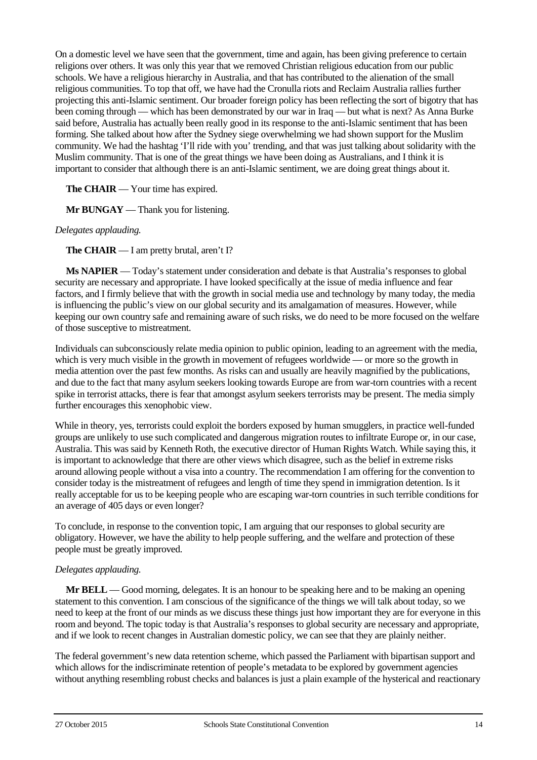On a domestic level we have seen that the government, time and again, has been giving preference to certain religions over others. It was only this year that we removed Christian religious education from our public schools. We have a religious hierarchy in Australia, and that has contributed to the alienation of the small religious communities. To top that off, we have had the Cronulla riots and Reclaim Australia rallies further projecting this anti-Islamic sentiment. Our broader foreign policy has been reflecting the sort of bigotry that has been coming through — which has been demonstrated by our war in Iraq — but what is next? As Anna Burke said before, Australia has actually been really good in its response to the anti-Islamic sentiment that has been forming. She talked about how after the Sydney siege overwhelming we had shown support for the Muslim community. We had the hashtag 'I'll ride with you' trending, and that was just talking about solidarity with the Muslim community. That is one of the great things we have been doing as Australians, and I think it is important to consider that although there is an anti-Islamic sentiment, we are doing great things about it.

**The CHAIR** — Your time has expired.

**Mr BUNGAY** — Thank you for listening.

### *Delegates applauding.*

**The CHAIR** — I am pretty brutal, aren't I?

**Ms NAPIER** — Today's statement under consideration and debate is that Australia's responses to global security are necessary and appropriate. I have looked specifically at the issue of media influence and fear factors, and I firmly believe that with the growth in social media use and technology by many today, the media is influencing the public's view on our global security and its amalgamation of measures. However, while keeping our own country safe and remaining aware of such risks, we do need to be more focused on the welfare of those susceptive to mistreatment.

Individuals can subconsciously relate media opinion to public opinion, leading to an agreement with the media, which is very much visible in the growth in movement of refugees worldwide — or more so the growth in media attention over the past few months. As risks can and usually are heavily magnified by the publications, and due to the fact that many asylum seekers looking towards Europe are from war-torn countries with a recent spike in terrorist attacks, there is fear that amongst asylum seekers terrorists may be present. The media simply further encourages this xenophobic view.

While in theory, yes, terrorists could exploit the borders exposed by human smugglers, in practice well-funded groups are unlikely to use such complicated and dangerous migration routes to infiltrate Europe or, in our case, Australia. This was said by Kenneth Roth, the executive director of Human Rights Watch. While saying this, it is important to acknowledge that there are other views which disagree, such as the belief in extreme risks around allowing people without a visa into a country. The recommendation I am offering for the convention to consider today is the mistreatment of refugees and length of time they spend in immigration detention. Is it really acceptable for us to be keeping people who are escaping war-torn countries in such terrible conditions for an average of 405 days or even longer?

To conclude, in response to the convention topic, I am arguing that our responses to global security are obligatory. However, we have the ability to help people suffering, and the welfare and protection of these people must be greatly improved.

### *Delegates applauding.*

**Mr BELL** — Good morning, delegates. It is an honour to be speaking here and to be making an opening statement to this convention. I am conscious of the significance of the things we will talk about today, so we need to keep at the front of our minds as we discuss these things just how important they are for everyone in this room and beyond. The topic today is that Australia's responses to global security are necessary and appropriate, and if we look to recent changes in Australian domestic policy, we can see that they are plainly neither.

The federal government's new data retention scheme, which passed the Parliament with bipartisan support and which allows for the indiscriminate retention of people's metadata to be explored by government agencies without anything resembling robust checks and balances is just a plain example of the hysterical and reactionary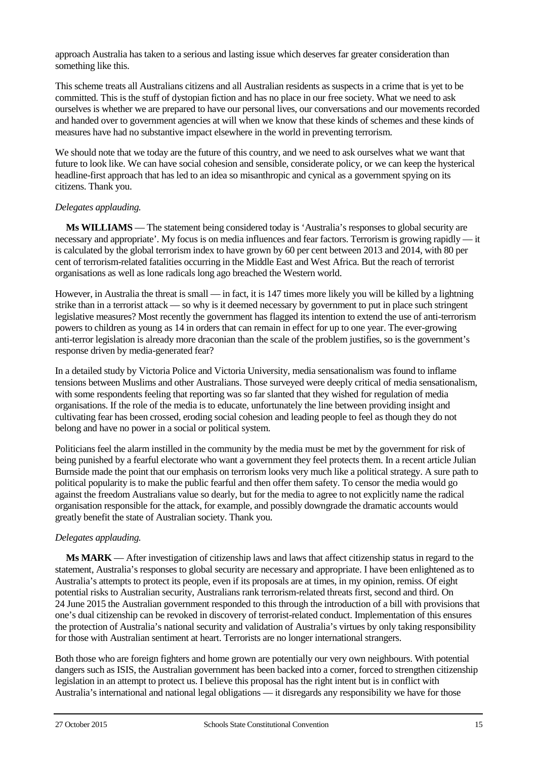approach Australia has taken to a serious and lasting issue which deserves far greater consideration than something like this.

This scheme treats all Australians citizens and all Australian residents as suspects in a crime that is yet to be committed. This is the stuff of dystopian fiction and has no place in our free society. What we need to ask ourselves is whether we are prepared to have our personal lives, our conversations and our movements recorded and handed over to government agencies at will when we know that these kinds of schemes and these kinds of measures have had no substantive impact elsewhere in the world in preventing terrorism.

We should note that we today are the future of this country, and we need to ask ourselves what we want that future to look like. We can have social cohesion and sensible, considerate policy, or we can keep the hysterical headline-first approach that has led to an idea so misanthropic and cynical as a government spying on its citizens. Thank you.

### *Delegates applauding.*

**Ms WILLIAMS** — The statement being considered today is 'Australia's responses to global security are necessary and appropriate'. My focus is on media influences and fear factors. Terrorism is growing rapidly — it is calculated by the global terrorism index to have grown by 60 per cent between 2013 and 2014, with 80 per cent of terrorism-related fatalities occurring in the Middle East and West Africa. But the reach of terrorist organisations as well as lone radicals long ago breached the Western world.

However, in Australia the threat is small — in fact, it is 147 times more likely you will be killed by a lightning strike than in a terrorist attack — so why is it deemed necessary by government to put in place such stringent legislative measures? Most recently the government has flagged its intention to extend the use of anti-terrorism powers to children as young as 14 in orders that can remain in effect for up to one year. The ever-growing anti-terror legislation is already more draconian than the scale of the problem justifies, so is the government's response driven by media-generated fear?

In a detailed study by Victoria Police and Victoria University, media sensationalism was found to inflame tensions between Muslims and other Australians. Those surveyed were deeply critical of media sensationalism, with some respondents feeling that reporting was so far slanted that they wished for regulation of media organisations. If the role of the media is to educate, unfortunately the line between providing insight and cultivating fear has been crossed, eroding social cohesion and leading people to feel as though they do not belong and have no power in a social or political system.

Politicians feel the alarm instilled in the community by the media must be met by the government for risk of being punished by a fearful electorate who want a government they feel protects them. In a recent article Julian Burnside made the point that our emphasis on terrorism looks very much like a political strategy. A sure path to political popularity is to make the public fearful and then offer them safety. To censor the media would go against the freedom Australians value so dearly, but for the media to agree to not explicitly name the radical organisation responsible for the attack, for example, and possibly downgrade the dramatic accounts would greatly benefit the state of Australian society. Thank you.

# *Delegates applauding.*

**Ms MARK** — After investigation of citizenship laws and laws that affect citizenship status in regard to the statement, Australia's responses to global security are necessary and appropriate. I have been enlightened as to Australia's attempts to protect its people, even if its proposals are at times, in my opinion, remiss. Of eight potential risks to Australian security, Australians rank terrorism-related threats first, second and third. On 24 June 2015 the Australian government responded to this through the introduction of a bill with provisions that one's dual citizenship can be revoked in discovery of terrorist-related conduct. Implementation of this ensures the protection of Australia's national security and validation of Australia's virtues by only taking responsibility for those with Australian sentiment at heart. Terrorists are no longer international strangers.

Both those who are foreign fighters and home grown are potentially our very own neighbours. With potential dangers such as ISIS, the Australian government has been backed into a corner, forced to strengthen citizenship legislation in an attempt to protect us. I believe this proposal has the right intent but is in conflict with Australia's international and national legal obligations — it disregards any responsibility we have for those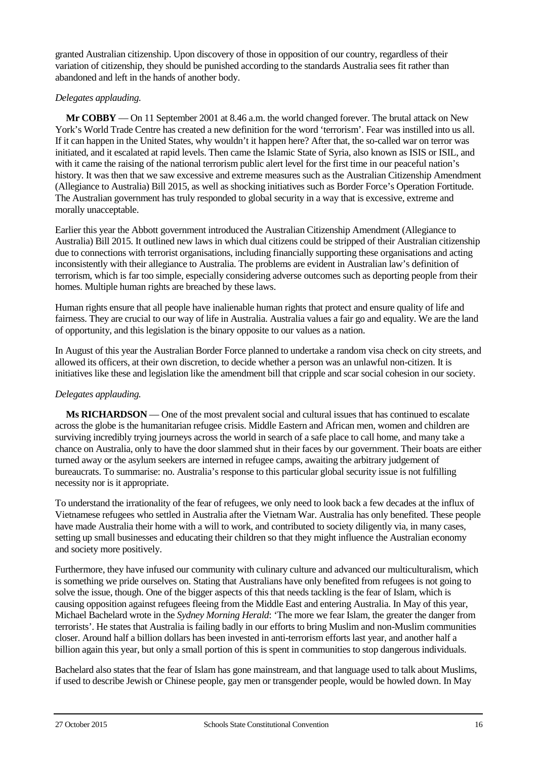granted Australian citizenship. Upon discovery of those in opposition of our country, regardless of their variation of citizenship, they should be punished according to the standards Australia sees fit rather than abandoned and left in the hands of another body.

### *Delegates applauding.*

**Mr COBBY** — On 11 September 2001 at 8.46 a.m. the world changed forever. The brutal attack on New York's World Trade Centre has created a new definition for the word 'terrorism'. Fear was instilled into us all. If it can happen in the United States, why wouldn't it happen here? After that, the so-called war on terror was initiated, and it escalated at rapid levels. Then came the Islamic State of Syria, also known as ISIS or ISIL, and with it came the raising of the national terrorism public alert level for the first time in our peaceful nation's history. It was then that we saw excessive and extreme measures such as the Australian Citizenship Amendment (Allegiance to Australia) Bill 2015, as well as shocking initiatives such as Border Force's Operation Fortitude. The Australian government has truly responded to global security in a way that is excessive, extreme and morally unacceptable.

Earlier this year the Abbott government introduced the Australian Citizenship Amendment (Allegiance to Australia) Bill 2015. It outlined new laws in which dual citizens could be stripped of their Australian citizenship due to connections with terrorist organisations, including financially supporting these organisations and acting inconsistently with their allegiance to Australia. The problems are evident in Australian law's definition of terrorism, which is far too simple, especially considering adverse outcomes such as deporting people from their homes. Multiple human rights are breached by these laws.

Human rights ensure that all people have inalienable human rights that protect and ensure quality of life and fairness. They are crucial to our way of life in Australia. Australia values a fair go and equality. We are the land of opportunity, and this legislation is the binary opposite to our values as a nation.

In August of this year the Australian Border Force planned to undertake a random visa check on city streets, and allowed its officers, at their own discretion, to decide whether a person was an unlawful non-citizen. It is initiatives like these and legislation like the amendment bill that cripple and scar social cohesion in our society.

# *Delegates applauding.*

**Ms RICHARDSON** — One of the most prevalent social and cultural issues that has continued to escalate across the globe is the humanitarian refugee crisis. Middle Eastern and African men, women and children are surviving incredibly trying journeys across the world in search of a safe place to call home, and many take a chance on Australia, only to have the door slammed shut in their faces by our government. Their boats are either turned away or the asylum seekers are interned in refugee camps, awaiting the arbitrary judgement of bureaucrats. To summarise: no. Australia's response to this particular global security issue is not fulfilling necessity nor is it appropriate.

To understand the irrationality of the fear of refugees, we only need to look back a few decades at the influx of Vietnamese refugees who settled in Australia after the Vietnam War. Australia has only benefited. These people have made Australia their home with a will to work, and contributed to society diligently via, in many cases, setting up small businesses and educating their children so that they might influence the Australian economy and society more positively.

Furthermore, they have infused our community with culinary culture and advanced our multiculturalism, which is something we pride ourselves on. Stating that Australians have only benefited from refugees is not going to solve the issue, though. One of the bigger aspects of this that needs tackling is the fear of Islam, which is causing opposition against refugees fleeing from the Middle East and entering Australia. In May of this year, Michael Bachelard wrote in the *Sydney Morning Herald*: 'The more we fear Islam, the greater the danger from terrorists'. He states that Australia is failing badly in our efforts to bring Muslim and non-Muslim communities closer. Around half a billion dollars has been invested in anti-terrorism efforts last year, and another half a billion again this year, but only a small portion of this is spent in communities to stop dangerous individuals.

Bachelard also states that the fear of Islam has gone mainstream, and that language used to talk about Muslims, if used to describe Jewish or Chinese people, gay men or transgender people, would be howled down. In May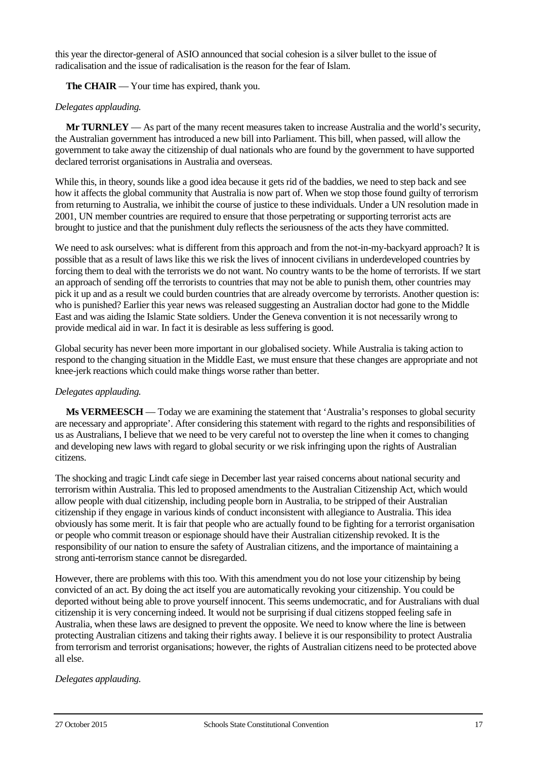this year the director-general of ASIO announced that social cohesion is a silver bullet to the issue of radicalisation and the issue of radicalisation is the reason for the fear of Islam.

**The CHAIR** — Your time has expired, thank you.

### *Delegates applauding.*

**Mr TURNLEY** — As part of the many recent measures taken to increase Australia and the world's security, the Australian government has introduced a new bill into Parliament. This bill, when passed, will allow the government to take away the citizenship of dual nationals who are found by the government to have supported declared terrorist organisations in Australia and overseas.

While this, in theory, sounds like a good idea because it gets rid of the baddies, we need to step back and see how it affects the global community that Australia is now part of. When we stop those found guilty of terrorism from returning to Australia, we inhibit the course of justice to these individuals. Under a UN resolution made in 2001, UN member countries are required to ensure that those perpetrating or supporting terrorist acts are brought to justice and that the punishment duly reflects the seriousness of the acts they have committed.

We need to ask ourselves: what is different from this approach and from the not-in-my-backyard approach? It is possible that as a result of laws like this we risk the lives of innocent civilians in underdeveloped countries by forcing them to deal with the terrorists we do not want. No country wants to be the home of terrorists. If we start an approach of sending off the terrorists to countries that may not be able to punish them, other countries may pick it up and as a result we could burden countries that are already overcome by terrorists. Another question is: who is punished? Earlier this year news was released suggesting an Australian doctor had gone to the Middle East and was aiding the Islamic State soldiers. Under the Geneva convention it is not necessarily wrong to provide medical aid in war. In fact it is desirable as less suffering is good.

Global security has never been more important in our globalised society. While Australia is taking action to respond to the changing situation in the Middle East, we must ensure that these changes are appropriate and not knee-jerk reactions which could make things worse rather than better.

### *Delegates applauding.*

**Ms VERMEESCH** — Today we are examining the statement that 'Australia's responses to global security are necessary and appropriate'. After considering this statement with regard to the rights and responsibilities of us as Australians, I believe that we need to be very careful not to overstep the line when it comes to changing and developing new laws with regard to global security or we risk infringing upon the rights of Australian citizens.

The shocking and tragic Lindt cafe siege in December last year raised concerns about national security and terrorism within Australia. This led to proposed amendments to the Australian Citizenship Act, which would allow people with dual citizenship, including people born in Australia, to be stripped of their Australian citizenship if they engage in various kinds of conduct inconsistent with allegiance to Australia. This idea obviously has some merit. It is fair that people who are actually found to be fighting for a terrorist organisation or people who commit treason or espionage should have their Australian citizenship revoked. It is the responsibility of our nation to ensure the safety of Australian citizens, and the importance of maintaining a strong anti-terrorism stance cannot be disregarded.

However, there are problems with this too. With this amendment you do not lose your citizenship by being convicted of an act. By doing the act itself you are automatically revoking your citizenship. You could be deported without being able to prove yourself innocent. This seems undemocratic, and for Australians with dual citizenship it is very concerning indeed. It would not be surprising if dual citizens stopped feeling safe in Australia, when these laws are designed to prevent the opposite. We need to know where the line is between protecting Australian citizens and taking their rights away. I believe it is our responsibility to protect Australia from terrorism and terrorist organisations; however, the rights of Australian citizens need to be protected above all else.

### *Delegates applauding.*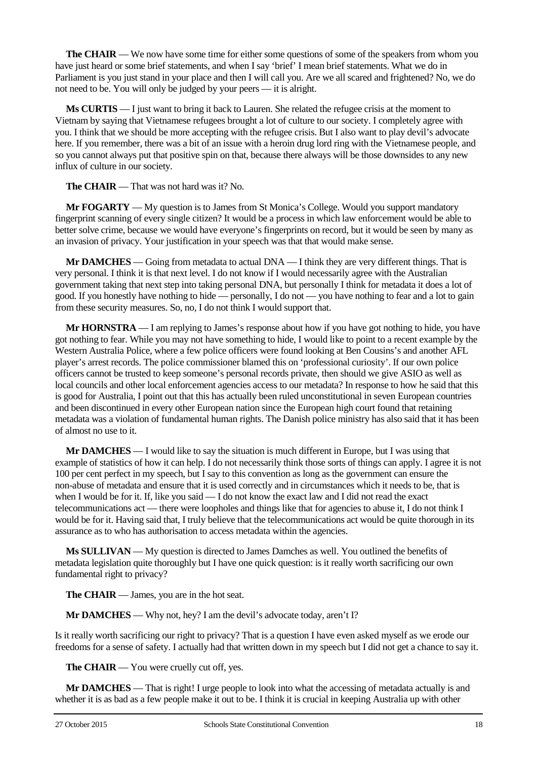**The CHAIR** — We now have some time for either some questions of some of the speakers from whom you have just heard or some brief statements, and when I say 'brief' I mean brief statements. What we do in Parliament is you just stand in your place and then I will call you. Are we all scared and frightened? No, we do not need to be. You will only be judged by your peers — it is alright.

**Ms CURTIS** — I just want to bring it back to Lauren. She related the refugee crisis at the moment to Vietnam by saying that Vietnamese refugees brought a lot of culture to our society. I completely agree with you. I think that we should be more accepting with the refugee crisis. But I also want to play devil's advocate here. If you remember, there was a bit of an issue with a heroin drug lord ring with the Vietnamese people, and so you cannot always put that positive spin on that, because there always will be those downsides to any new influx of culture in our society.

**The CHAIR** — That was not hard was it? No.

**Mr FOGARTY** — My question is to James from St Monica's College. Would you support mandatory fingerprint scanning of every single citizen? It would be a process in which law enforcement would be able to better solve crime, because we would have everyone's fingerprints on record, but it would be seen by many as an invasion of privacy. Your justification in your speech was that that would make sense.

**Mr DAMCHES** — Going from metadata to actual DNA — I think they are very different things. That is very personal. I think it is that next level. I do not know if I would necessarily agree with the Australian government taking that next step into taking personal DNA, but personally I think for metadata it does a lot of good. If you honestly have nothing to hide — personally, I do not — you have nothing to fear and a lot to gain from these security measures. So, no, I do not think I would support that.

**Mr HORNSTRA** — I am replying to James's response about how if you have got nothing to hide, you have got nothing to fear. While you may not have something to hide, I would like to point to a recent example by the Western Australia Police, where a few police officers were found looking at Ben Cousins's and another AFL player's arrest records. The police commissioner blamed this on 'professional curiosity'. If our own police officers cannot be trusted to keep someone's personal records private, then should we give ASIO as well as local councils and other local enforcement agencies access to our metadata? In response to how he said that this is good for Australia, I point out that this has actually been ruled unconstitutional in seven European countries and been discontinued in every other European nation since the European high court found that retaining metadata was a violation of fundamental human rights. The Danish police ministry has also said that it has been of almost no use to it.

**Mr DAMCHES** — I would like to say the situation is much different in Europe, but I was using that example of statistics of how it can help. I do not necessarily think those sorts of things can apply. I agree it is not 100 per cent perfect in my speech, but I say to this convention as long as the government can ensure the non-abuse of metadata and ensure that it is used correctly and in circumstances which it needs to be, that is when I would be for it. If, like you said — I do not know the exact law and I did not read the exact telecommunications act — there were loopholes and things like that for agencies to abuse it, I do not think I would be for it. Having said that, I truly believe that the telecommunications act would be quite thorough in its assurance as to who has authorisation to access metadata within the agencies.

**Ms SULLIVAN** — My question is directed to James Damches as well. You outlined the benefits of metadata legislation quite thoroughly but I have one quick question: is it really worth sacrificing our own fundamental right to privacy?

**The CHAIR** — James, you are in the hot seat.

**Mr DAMCHES** — Why not, hey? I am the devil's advocate today, aren't I?

Is it really worth sacrificing our right to privacy? That is a question I have even asked myself as we erode our freedoms for a sense of safety. I actually had that written down in my speech but I did not get a chance to say it.

**The CHAIR** — You were cruelly cut off, yes.

**Mr DAMCHES** — That is right! I urge people to look into what the accessing of metadata actually is and whether it is as bad as a few people make it out to be. I think it is crucial in keeping Australia up with other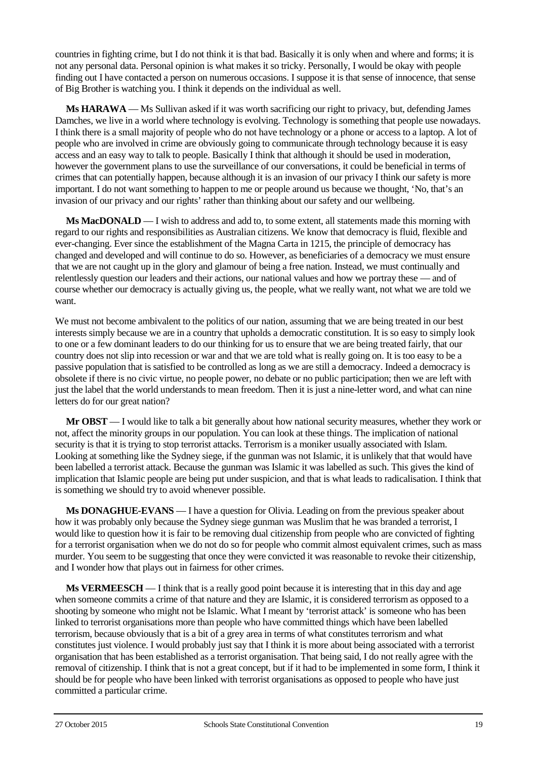countries in fighting crime, but I do not think it is that bad. Basically it is only when and where and forms; it is not any personal data. Personal opinion is what makes it so tricky. Personally, I would be okay with people finding out I have contacted a person on numerous occasions. I suppose it is that sense of innocence, that sense of Big Brother is watching you. I think it depends on the individual as well.

**Ms HARAWA** — Ms Sullivan asked if it was worth sacrificing our right to privacy, but, defending James Damches, we live in a world where technology is evolving. Technology is something that people use nowadays. I think there is a small majority of people who do not have technology or a phone or access to a laptop. A lot of people who are involved in crime are obviously going to communicate through technology because it is easy access and an easy way to talk to people. Basically I think that although it should be used in moderation, however the government plans to use the surveillance of our conversations, it could be beneficial in terms of crimes that can potentially happen, because although it is an invasion of our privacy I think our safety is more important. I do not want something to happen to me or people around us because we thought, 'No, that's an invasion of our privacy and our rights' rather than thinking about our safety and our wellbeing.

**Ms MacDONALD** — I wish to address and add to, to some extent, all statements made this morning with regard to our rights and responsibilities as Australian citizens. We know that democracy is fluid, flexible and ever-changing. Ever since the establishment of the Magna Carta in 1215, the principle of democracy has changed and developed and will continue to do so. However, as beneficiaries of a democracy we must ensure that we are not caught up in the glory and glamour of being a free nation. Instead, we must continually and relentlessly question our leaders and their actions, our national values and how we portray these — and of course whether our democracy is actually giving us, the people, what we really want, not what we are told we want.

We must not become ambivalent to the politics of our nation, assuming that we are being treated in our best interests simply because we are in a country that upholds a democratic constitution. It is so easy to simply look to one or a few dominant leaders to do our thinking for us to ensure that we are being treated fairly, that our country does not slip into recession or war and that we are told what is really going on. It is too easy to be a passive population that is satisfied to be controlled as long as we are still a democracy. Indeed a democracy is obsolete if there is no civic virtue, no people power, no debate or no public participation; then we are left with just the label that the world understands to mean freedom. Then it is just a nine-letter word, and what can nine letters do for our great nation?

**Mr OBST** — I would like to talk a bit generally about how national security measures, whether they work or not, affect the minority groups in our population. You can look at these things. The implication of national security is that it is trying to stop terrorist attacks. Terrorism is a moniker usually associated with Islam. Looking at something like the Sydney siege, if the gunman was not Islamic, it is unlikely that that would have been labelled a terrorist attack. Because the gunman was Islamic it was labelled as such. This gives the kind of implication that Islamic people are being put under suspicion, and that is what leads to radicalisation. I think that is something we should try to avoid whenever possible.

**Ms DONAGHUE-EVANS** — I have a question for Olivia. Leading on from the previous speaker about how it was probably only because the Sydney siege gunman was Muslim that he was branded a terrorist, I would like to question how it is fair to be removing dual citizenship from people who are convicted of fighting for a terrorist organisation when we do not do so for people who commit almost equivalent crimes, such as mass murder. You seem to be suggesting that once they were convicted it was reasonable to revoke their citizenship, and I wonder how that plays out in fairness for other crimes.

**Ms VERMEESCH** — I think that is a really good point because it is interesting that in this day and age when someone commits a crime of that nature and they are Islamic, it is considered terrorism as opposed to a shooting by someone who might not be Islamic. What I meant by 'terrorist attack' is someone who has been linked to terrorist organisations more than people who have committed things which have been labelled terrorism, because obviously that is a bit of a grey area in terms of what constitutes terrorism and what constitutes just violence. I would probably just say that I think it is more about being associated with a terrorist organisation that has been established as a terrorist organisation. That being said, I do not really agree with the removal of citizenship. I think that is not a great concept, but if it had to be implemented in some form, I think it should be for people who have been linked with terrorist organisations as opposed to people who have just committed a particular crime.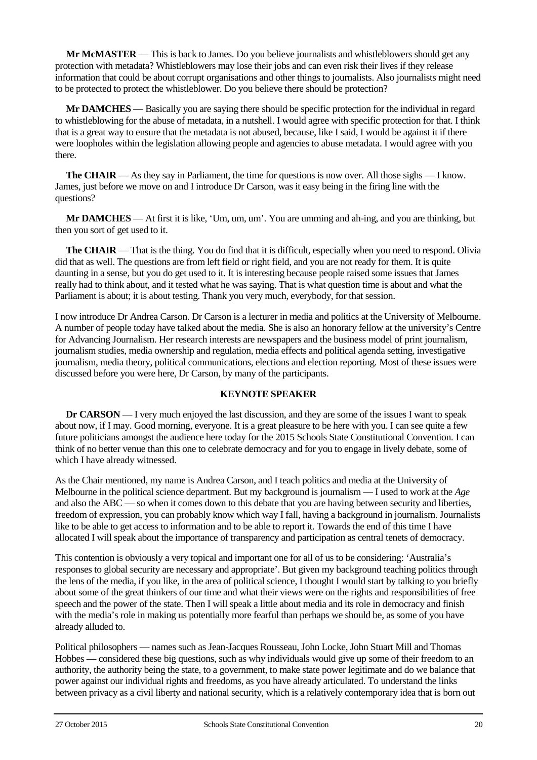**Mr McMASTER** — This is back to James. Do you believe journalists and whistleblowers should get any protection with metadata? Whistleblowers may lose their jobs and can even risk their lives if they release information that could be about corrupt organisations and other things to journalists. Also journalists might need to be protected to protect the whistleblower. Do you believe there should be protection?

**Mr DAMCHES** — Basically you are saying there should be specific protection for the individual in regard to whistleblowing for the abuse of metadata, in a nutshell. I would agree with specific protection for that. I think that is a great way to ensure that the metadata is not abused, because, like I said, I would be against it if there were loopholes within the legislation allowing people and agencies to abuse metadata. I would agree with you there.

**The CHAIR** — As they say in Parliament, the time for questions is now over. All those sighs — I know. James, just before we move on and I introduce Dr Carson, was it easy being in the firing line with the questions?

**Mr DAMCHES** — At first it is like, 'Um, um, um'. You are umming and ah-ing, and you are thinking, but then you sort of get used to it.

**The CHAIR** — That is the thing. You do find that it is difficult, especially when you need to respond. Olivia did that as well. The questions are from left field or right field, and you are not ready for them. It is quite daunting in a sense, but you do get used to it. It is interesting because people raised some issues that James really had to think about, and it tested what he was saying. That is what question time is about and what the Parliament is about; it is about testing. Thank you very much, everybody, for that session.

I now introduce Dr Andrea Carson. Dr Carson is a lecturer in media and politics at the University of Melbourne. A number of people today have talked about the media. She is also an honorary fellow at the university's Centre for Advancing Journalism. Her research interests are newspapers and the business model of print journalism, journalism studies, media ownership and regulation, media effects and political agenda setting, investigative journalism, media theory, political communications, elections and election reporting. Most of these issues were discussed before you were here, Dr Carson, by many of the participants.

# **KEYNOTE SPEAKER**

**Dr CARSON** — I very much enjoyed the last discussion, and they are some of the issues I want to speak about now, if I may. Good morning, everyone. It is a great pleasure to be here with you. I can see quite a few future politicians amongst the audience here today for the 2015 Schools State Constitutional Convention. I can think of no better venue than this one to celebrate democracy and for you to engage in lively debate, some of which I have already witnessed.

As the Chair mentioned, my name is Andrea Carson, and I teach politics and media at the University of Melbourne in the political science department. But my background is journalism — I used to work at the *Age* and also the ABC — so when it comes down to this debate that you are having between security and liberties, freedom of expression, you can probably know which way I fall, having a background in journalism. Journalists like to be able to get access to information and to be able to report it. Towards the end of this time I have allocated I will speak about the importance of transparency and participation as central tenets of democracy.

This contention is obviously a very topical and important one for all of us to be considering: 'Australia's responses to global security are necessary and appropriate'. But given my background teaching politics through the lens of the media, if you like, in the area of political science, I thought I would start by talking to you briefly about some of the great thinkers of our time and what their views were on the rights and responsibilities of free speech and the power of the state. Then I will speak a little about media and its role in democracy and finish with the media's role in making us potentially more fearful than perhaps we should be, as some of you have already alluded to.

Political philosophers — names such as Jean-Jacques Rousseau, John Locke, John Stuart Mill and Thomas Hobbes — considered these big questions, such as why individuals would give up some of their freedom to an authority, the authority being the state, to a government, to make state power legitimate and do we balance that power against our individual rights and freedoms, as you have already articulated. To understand the links between privacy as a civil liberty and national security, which is a relatively contemporary idea that is born out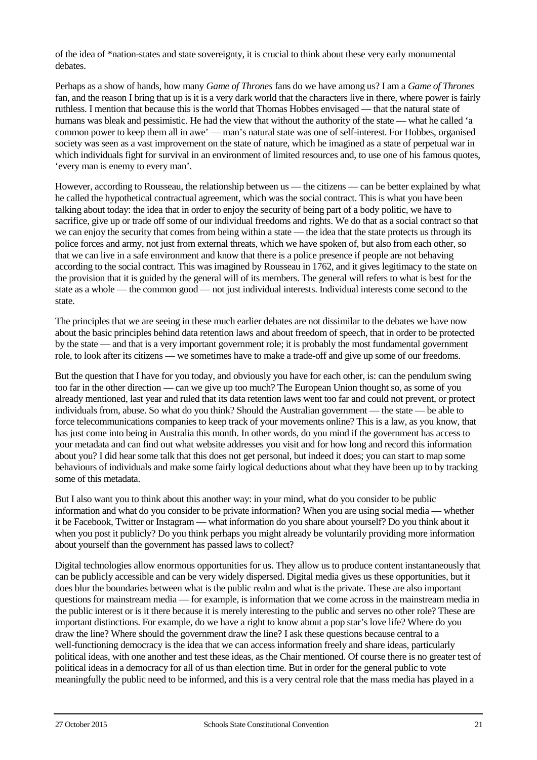of the idea of \*nation-states and state sovereignty, it is crucial to think about these very early monumental debates.

Perhaps as a show of hands, how many *Game of Thrones* fans do we have among us? I am a *Game of Thrones*  fan, and the reason I bring that up is it is a very dark world that the characters live in there, where power is fairly ruthless. I mention that because this is the world that Thomas Hobbes envisaged — that the natural state of humans was bleak and pessimistic. He had the view that without the authority of the state — what he called 'a common power to keep them all in awe' — man's natural state was one of self-interest. For Hobbes, organised society was seen as a vast improvement on the state of nature, which he imagined as a state of perpetual war in which individuals fight for survival in an environment of limited resources and, to use one of his famous quotes, 'every man is enemy to every man'.

However, according to Rousseau, the relationship between us — the citizens — can be better explained by what he called the hypothetical contractual agreement, which was the social contract. This is what you have been talking about today: the idea that in order to enjoy the security of being part of a body politic, we have to sacrifice, give up or trade off some of our individual freedoms and rights. We do that as a social contract so that we can enjoy the security that comes from being within a state — the idea that the state protects us through its police forces and army, not just from external threats, which we have spoken of, but also from each other, so that we can live in a safe environment and know that there is a police presence if people are not behaving according to the social contract. This was imagined by Rousseau in 1762, and it gives legitimacy to the state on the provision that it is guided by the general will of its members. The general will refers to what is best for the state as a whole — the common good — not just individual interests. Individual interests come second to the state.

The principles that we are seeing in these much earlier debates are not dissimilar to the debates we have now about the basic principles behind data retention laws and about freedom of speech, that in order to be protected by the state — and that is a very important government role; it is probably the most fundamental government role, to look after its citizens — we sometimes have to make a trade-off and give up some of our freedoms.

But the question that I have for you today, and obviously you have for each other, is: can the pendulum swing too far in the other direction — can we give up too much? The European Union thought so, as some of you already mentioned, last year and ruled that its data retention laws went too far and could not prevent, or protect individuals from, abuse. So what do you think? Should the Australian government — the state — be able to force telecommunications companies to keep track of your movements online? This is a law, as you know, that has just come into being in Australia this month. In other words, do you mind if the government has access to your metadata and can find out what website addresses you visit and for how long and record this information about you? I did hear some talk that this does not get personal, but indeed it does; you can start to map some behaviours of individuals and make some fairly logical deductions about what they have been up to by tracking some of this metadata.

But I also want you to think about this another way: in your mind, what do you consider to be public information and what do you consider to be private information? When you are using social media — whether it be Facebook, Twitter or Instagram — what information do you share about yourself? Do you think about it when you post it publicly? Do you think perhaps you might already be voluntarily providing more information about yourself than the government has passed laws to collect?

Digital technologies allow enormous opportunities for us. They allow us to produce content instantaneously that can be publicly accessible and can be very widely dispersed. Digital media gives us these opportunities, but it does blur the boundaries between what is the public realm and what is the private. These are also important questions for mainstream media — for example, is information that we come across in the mainstream media in the public interest or is it there because it is merely interesting to the public and serves no other role? These are important distinctions. For example, do we have a right to know about a pop star's love life? Where do you draw the line? Where should the government draw the line? I ask these questions because central to a well-functioning democracy is the idea that we can access information freely and share ideas, particularly political ideas, with one another and test these ideas, as the Chair mentioned. Of course there is no greater test of political ideas in a democracy for all of us than election time. But in order for the general public to vote meaningfully the public need to be informed, and this is a very central role that the mass media has played in a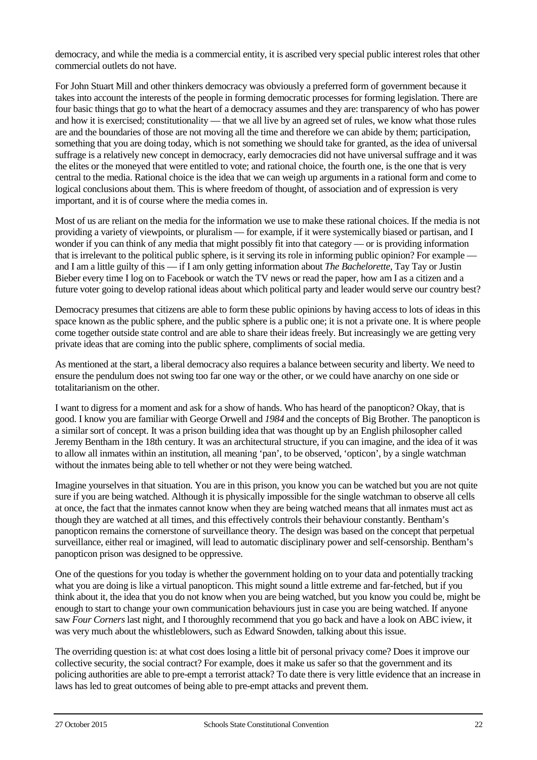democracy, and while the media is a commercial entity, it is ascribed very special public interest roles that other commercial outlets do not have.

For John Stuart Mill and other thinkers democracy was obviously a preferred form of government because it takes into account the interests of the people in forming democratic processes for forming legislation. There are four basic things that go to what the heart of a democracy assumes and they are: transparency of who has power and how it is exercised; constitutionality — that we all live by an agreed set of rules, we know what those rules are and the boundaries of those are not moving all the time and therefore we can abide by them; participation, something that you are doing today, which is not something we should take for granted, as the idea of universal suffrage is a relatively new concept in democracy, early democracies did not have universal suffrage and it was the elites or the moneyed that were entitled to vote; and rational choice, the fourth one, is the one that is very central to the media. Rational choice is the idea that we can weigh up arguments in a rational form and come to logical conclusions about them. This is where freedom of thought, of association and of expression is very important, and it is of course where the media comes in.

Most of us are reliant on the media for the information we use to make these rational choices. If the media is not providing a variety of viewpoints, or pluralism — for example, if it were systemically biased or partisan, and I wonder if you can think of any media that might possibly fit into that category — or is providing information that is irrelevant to the political public sphere, is it serving its role in informing public opinion? For example and I am a little guilty of this — if I am only getting information about *The Bachelorette*, Tay Tay or Justin Bieber every time I log on to Facebook or watch the TV news or read the paper, how am I as a citizen and a future voter going to develop rational ideas about which political party and leader would serve our country best?

Democracy presumes that citizens are able to form these public opinions by having access to lots of ideas in this space known as the public sphere, and the public sphere is a public one; it is not a private one. It is where people come together outside state control and are able to share their ideas freely. But increasingly we are getting very private ideas that are coming into the public sphere, compliments of social media.

As mentioned at the start, a liberal democracy also requires a balance between security and liberty. We need to ensure the pendulum does not swing too far one way or the other, or we could have anarchy on one side or totalitarianism on the other.

I want to digress for a moment and ask for a show of hands. Who has heard of the panopticon? Okay, that is good. I know you are familiar with George Orwell and *1984* and the concepts of Big Brother. The panopticon is a similar sort of concept. It was a prison building idea that was thought up by an English philosopher called Jeremy Bentham in the 18th century. It was an architectural structure, if you can imagine, and the idea of it was to allow all inmates within an institution, all meaning 'pan', to be observed, 'opticon', by a single watchman without the inmates being able to tell whether or not they were being watched.

Imagine yourselves in that situation. You are in this prison, you know you can be watched but you are not quite sure if you are being watched. Although it is physically impossible for the single watchman to observe all cells at once, the fact that the inmates cannot know when they are being watched means that all inmates must act as though they are watched at all times, and this effectively controls their behaviour constantly. Bentham's panopticon remains the cornerstone of surveillance theory. The design was based on the concept that perpetual surveillance, either real or imagined, will lead to automatic disciplinary power and self-censorship. Bentham's panopticon prison was designed to be oppressive.

One of the questions for you today is whether the government holding on to your data and potentially tracking what you are doing is like a virtual panopticon. This might sound a little extreme and far-fetched, but if you think about it, the idea that you do not know when you are being watched, but you know you could be, might be enough to start to change your own communication behaviours just in case you are being watched. If anyone saw *Four Corners* last night, and I thoroughly recommend that you go back and have a look on ABC iview, it was very much about the whistleblowers, such as Edward Snowden, talking about this issue.

The overriding question is: at what cost does losing a little bit of personal privacy come? Does it improve our collective security, the social contract? For example, does it make us safer so that the government and its policing authorities are able to pre-empt a terrorist attack? To date there is very little evidence that an increase in laws has led to great outcomes of being able to pre-empt attacks and prevent them.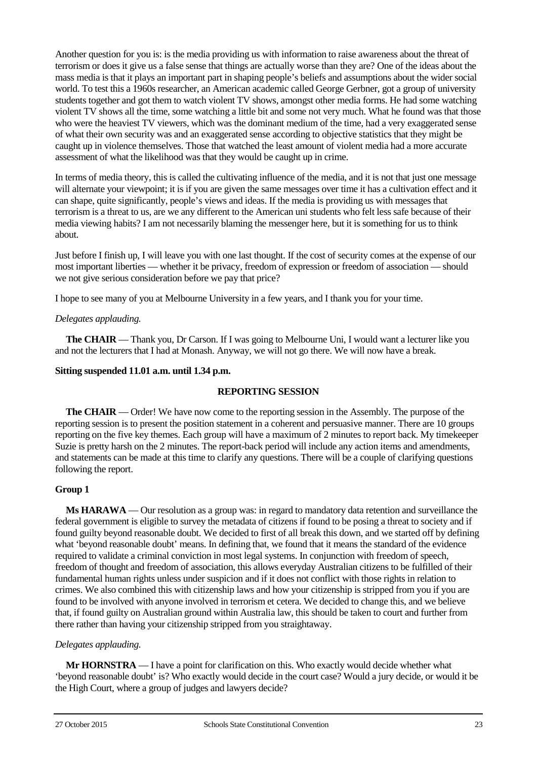Another question for you is: is the media providing us with information to raise awareness about the threat of terrorism or does it give us a false sense that things are actually worse than they are? One of the ideas about the mass media is that it plays an important part in shaping people's beliefs and assumptions about the wider social world. To test this a 1960s researcher, an American academic called George Gerbner, got a group of university students together and got them to watch violent TV shows, amongst other media forms. He had some watching violent TV shows all the time, some watching a little bit and some not very much. What he found was that those who were the heaviest TV viewers, which was the dominant medium of the time, had a very exaggerated sense of what their own security was and an exaggerated sense according to objective statistics that they might be caught up in violence themselves. Those that watched the least amount of violent media had a more accurate assessment of what the likelihood was that they would be caught up in crime.

In terms of media theory, this is called the cultivating influence of the media, and it is not that just one message will alternate your viewpoint; it is if you are given the same messages over time it has a cultivation effect and it can shape, quite significantly, people's views and ideas. If the media is providing us with messages that terrorism is a threat to us, are we any different to the American uni students who felt less safe because of their media viewing habits? I am not necessarily blaming the messenger here, but it is something for us to think about.

Just before I finish up, I will leave you with one last thought. If the cost of security comes at the expense of our most important liberties — whether it be privacy, freedom of expression or freedom of association — should we not give serious consideration before we pay that price?

I hope to see many of you at Melbourne University in a few years, and I thank you for your time.

### *Delegates applauding.*

**The CHAIR** — Thank you, Dr Carson. If I was going to Melbourne Uni, I would want a lecturer like you and not the lecturers that I had at Monash. Anyway, we will not go there. We will now have a break.

### **Sitting suspended 11.01 a.m. until 1.34 p.m.**

### **REPORTING SESSION**

**The CHAIR** — Order! We have now come to the reporting session in the Assembly. The purpose of the reporting session is to present the position statement in a coherent and persuasive manner. There are 10 groups reporting on the five key themes. Each group will have a maximum of 2 minutes to report back. My timekeeper Suzie is pretty harsh on the 2 minutes. The report-back period will include any action items and amendments, and statements can be made at this time to clarify any questions. There will be a couple of clarifying questions following the report.

### **Group 1**

**Ms HARAWA** — Our resolution as a group was: in regard to mandatory data retention and surveillance the federal government is eligible to survey the metadata of citizens if found to be posing a threat to society and if found guilty beyond reasonable doubt. We decided to first of all break this down, and we started off by defining what 'beyond reasonable doubt' means. In defining that, we found that it means the standard of the evidence required to validate a criminal conviction in most legal systems. In conjunction with freedom of speech, freedom of thought and freedom of association, this allows everyday Australian citizens to be fulfilled of their fundamental human rights unless under suspicion and if it does not conflict with those rights in relation to crimes. We also combined this with citizenship laws and how your citizenship is stripped from you if you are found to be involved with anyone involved in terrorism et cetera. We decided to change this, and we believe that, if found guilty on Australian ground within Australia law, this should be taken to court and further from there rather than having your citizenship stripped from you straightaway.

### *Delegates applauding.*

**Mr HORNSTRA** — I have a point for clarification on this. Who exactly would decide whether what 'beyond reasonable doubt' is? Who exactly would decide in the court case? Would a jury decide, or would it be the High Court, where a group of judges and lawyers decide?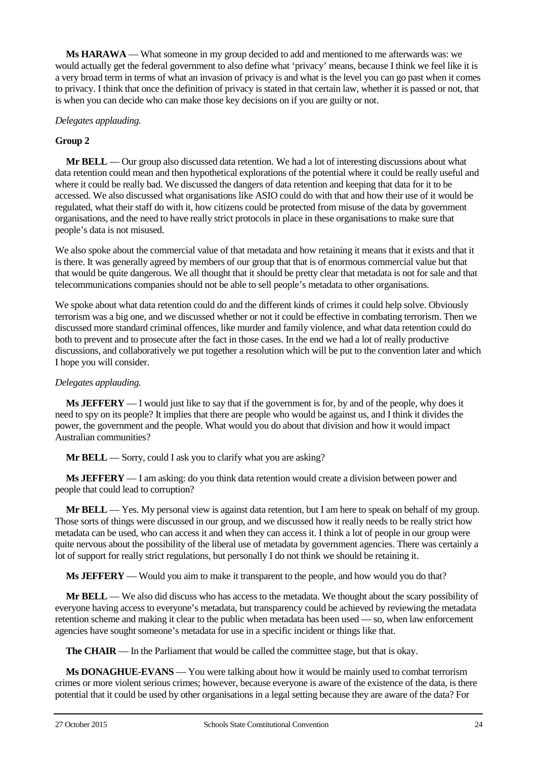**Ms HARAWA** — What someone in my group decided to add and mentioned to me afterwards was: we would actually get the federal government to also define what 'privacy' means, because I think we feel like it is a very broad term in terms of what an invasion of privacy is and what is the level you can go past when it comes to privacy. I think that once the definition of privacy is stated in that certain law, whether it is passed or not, that is when you can decide who can make those key decisions on if you are guilty or not.

### *Delegates applauding.*

# **Group 2**

**Mr BELL** — Our group also discussed data retention. We had a lot of interesting discussions about what data retention could mean and then hypothetical explorations of the potential where it could be really useful and where it could be really bad. We discussed the dangers of data retention and keeping that data for it to be accessed. We also discussed what organisations like ASIO could do with that and how their use of it would be regulated, what their staff do with it, how citizens could be protected from misuse of the data by government organisations, and the need to have really strict protocols in place in these organisations to make sure that people's data is not misused.

We also spoke about the commercial value of that metadata and how retaining it means that it exists and that it is there. It was generally agreed by members of our group that that is of enormous commercial value but that that would be quite dangerous. We all thought that it should be pretty clear that metadata is not for sale and that telecommunications companies should not be able to sell people's metadata to other organisations.

We spoke about what data retention could do and the different kinds of crimes it could help solve. Obviously terrorism was a big one, and we discussed whether or not it could be effective in combating terrorism. Then we discussed more standard criminal offences, like murder and family violence, and what data retention could do both to prevent and to prosecute after the fact in those cases. In the end we had a lot of really productive discussions, and collaboratively we put together a resolution which will be put to the convention later and which I hope you will consider.

### *Delegates applauding.*

**Ms JEFFERY** — I would just like to say that if the government is for, by and of the people, why does it need to spy on its people? It implies that there are people who would be against us, and I think it divides the power, the government and the people. What would you do about that division and how it would impact Australian communities?

**Mr BELL** — Sorry, could I ask you to clarify what you are asking?

**Ms JEFFERY** — I am asking: do you think data retention would create a division between power and people that could lead to corruption?

**Mr BELL** — Yes. My personal view is against data retention, but I am here to speak on behalf of my group. Those sorts of things were discussed in our group, and we discussed how it really needs to be really strict how metadata can be used, who can access it and when they can access it. I think a lot of people in our group were quite nervous about the possibility of the liberal use of metadata by government agencies. There was certainly a lot of support for really strict regulations, but personally I do not think we should be retaining it.

**Ms JEFFERY** — Would you aim to make it transparent to the people, and how would you do that?

**Mr BELL** — We also did discuss who has access to the metadata. We thought about the scary possibility of everyone having access to everyone's metadata, but transparency could be achieved by reviewing the metadata retention scheme and making it clear to the public when metadata has been used — so, when law enforcement agencies have sought someone's metadata for use in a specific incident or things like that.

**The CHAIR** — In the Parliament that would be called the committee stage, but that is okay.

**Ms DONAGHUE-EVANS** — You were talking about how it would be mainly used to combat terrorism crimes or more violent serious crimes; however, because everyone is aware of the existence of the data, is there potential that it could be used by other organisations in a legal setting because they are aware of the data? For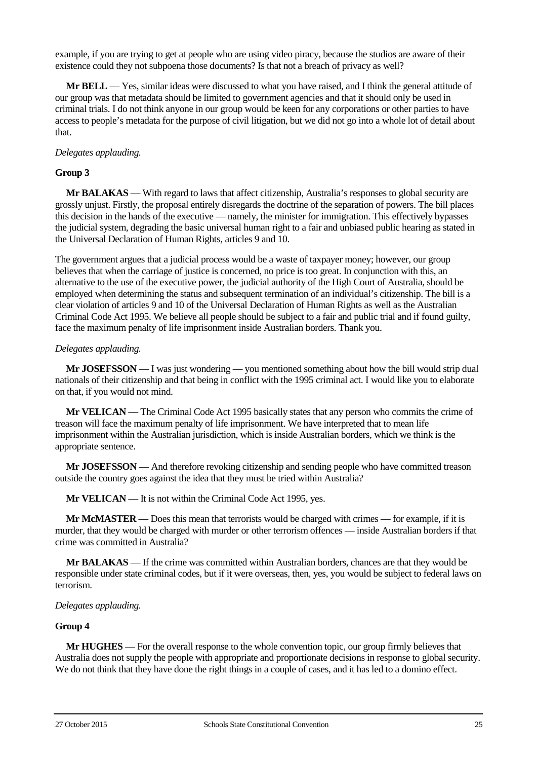example, if you are trying to get at people who are using video piracy, because the studios are aware of their existence could they not subpoena those documents? Is that not a breach of privacy as well?

**Mr BELL** — Yes, similar ideas were discussed to what you have raised, and I think the general attitude of our group was that metadata should be limited to government agencies and that it should only be used in criminal trials. I do not think anyone in our group would be keen for any corporations or other parties to have access to people's metadata for the purpose of civil litigation, but we did not go into a whole lot of detail about that.

#### *Delegates applauding.*

#### **Group 3**

**Mr BALAKAS** — With regard to laws that affect citizenship, Australia's responses to global security are grossly unjust. Firstly, the proposal entirely disregards the doctrine of the separation of powers. The bill places this decision in the hands of the executive — namely, the minister for immigration. This effectively bypasses the judicial system, degrading the basic universal human right to a fair and unbiased public hearing as stated in the Universal Declaration of Human Rights, articles 9 and 10.

The government argues that a judicial process would be a waste of taxpayer money; however, our group believes that when the carriage of justice is concerned, no price is too great. In conjunction with this, an alternative to the use of the executive power, the judicial authority of the High Court of Australia, should be employed when determining the status and subsequent termination of an individual's citizenship. The bill is a clear violation of articles 9 and 10 of the Universal Declaration of Human Rights as well as the Australian Criminal Code Act 1995. We believe all people should be subject to a fair and public trial and if found guilty, face the maximum penalty of life imprisonment inside Australian borders. Thank you.

#### *Delegates applauding.*

**Mr JOSEFSSON** — I was just wondering — you mentioned something about how the bill would strip dual nationals of their citizenship and that being in conflict with the 1995 criminal act. I would like you to elaborate on that, if you would not mind.

**Mr VELICAN** — The Criminal Code Act 1995 basically states that any person who commits the crime of treason will face the maximum penalty of life imprisonment. We have interpreted that to mean life imprisonment within the Australian jurisdiction, which is inside Australian borders, which we think is the appropriate sentence.

**Mr JOSEFSSON** — And therefore revoking citizenship and sending people who have committed treason outside the country goes against the idea that they must be tried within Australia?

**Mr VELICAN** — It is not within the Criminal Code Act 1995, yes.

**Mr McMASTER** — Does this mean that terrorists would be charged with crimes — for example, if it is murder, that they would be charged with murder or other terrorism offences — inside Australian borders if that crime was committed in Australia?

**Mr BALAKAS** — If the crime was committed within Australian borders, chances are that they would be responsible under state criminal codes, but if it were overseas, then, yes, you would be subject to federal laws on terrorism.

#### *Delegates applauding.*

#### **Group 4**

**Mr HUGHES** — For the overall response to the whole convention topic, our group firmly believes that Australia does not supply the people with appropriate and proportionate decisions in response to global security. We do not think that they have done the right things in a couple of cases, and it has led to a domino effect.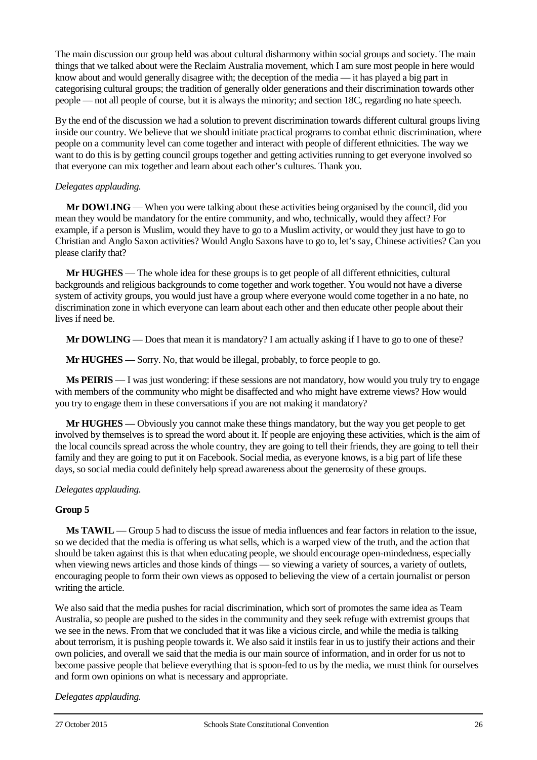The main discussion our group held was about cultural disharmony within social groups and society. The main things that we talked about were the Reclaim Australia movement, which I am sure most people in here would know about and would generally disagree with; the deception of the media — it has played a big part in categorising cultural groups; the tradition of generally older generations and their discrimination towards other people — not all people of course, but it is always the minority; and section 18C, regarding no hate speech.

By the end of the discussion we had a solution to prevent discrimination towards different cultural groups living inside our country. We believe that we should initiate practical programs to combat ethnic discrimination, where people on a community level can come together and interact with people of different ethnicities. The way we want to do this is by getting council groups together and getting activities running to get everyone involved so that everyone can mix together and learn about each other's cultures. Thank you.

### *Delegates applauding.*

**Mr DOWLING** — When you were talking about these activities being organised by the council, did you mean they would be mandatory for the entire community, and who, technically, would they affect? For example, if a person is Muslim, would they have to go to a Muslim activity, or would they just have to go to Christian and Anglo Saxon activities? Would Anglo Saxons have to go to, let's say, Chinese activities? Can you please clarify that?

**Mr HUGHES** — The whole idea for these groups is to get people of all different ethnicities, cultural backgrounds and religious backgrounds to come together and work together. You would not have a diverse system of activity groups, you would just have a group where everyone would come together in a no hate, no discrimination zone in which everyone can learn about each other and then educate other people about their lives if need be.

**Mr DOWLING** — Does that mean it is mandatory? I am actually asking if I have to go to one of these?

**Mr HUGHES** — Sorry. No, that would be illegal, probably, to force people to go.

**Ms PEIRIS** — I was just wondering: if these sessions are not mandatory, how would you truly try to engage with members of the community who might be disaffected and who might have extreme views? How would you try to engage them in these conversations if you are not making it mandatory?

**Mr HUGHES** — Obviously you cannot make these things mandatory, but the way you get people to get involved by themselves is to spread the word about it. If people are enjoying these activities, which is the aim of the local councils spread across the whole country, they are going to tell their friends, they are going to tell their family and they are going to put it on Facebook. Social media, as everyone knows, is a big part of life these days, so social media could definitely help spread awareness about the generosity of these groups.

### *Delegates applauding.*

### **Group 5**

**Ms TAWIL** — Group 5 had to discuss the issue of media influences and fear factors in relation to the issue, so we decided that the media is offering us what sells, which is a warped view of the truth, and the action that should be taken against this is that when educating people, we should encourage open-mindedness, especially when viewing news articles and those kinds of things — so viewing a variety of sources, a variety of outlets, encouraging people to form their own views as opposed to believing the view of a certain journalist or person writing the article.

We also said that the media pushes for racial discrimination, which sort of promotes the same idea as Team Australia, so people are pushed to the sides in the community and they seek refuge with extremist groups that we see in the news. From that we concluded that it was like a vicious circle, and while the media is talking about terrorism, it is pushing people towards it. We also said it instils fear in us to justify their actions and their own policies, and overall we said that the media is our main source of information, and in order for us not to become passive people that believe everything that is spoon-fed to us by the media, we must think for ourselves and form own opinions on what is necessary and appropriate.

# *Delegates applauding.*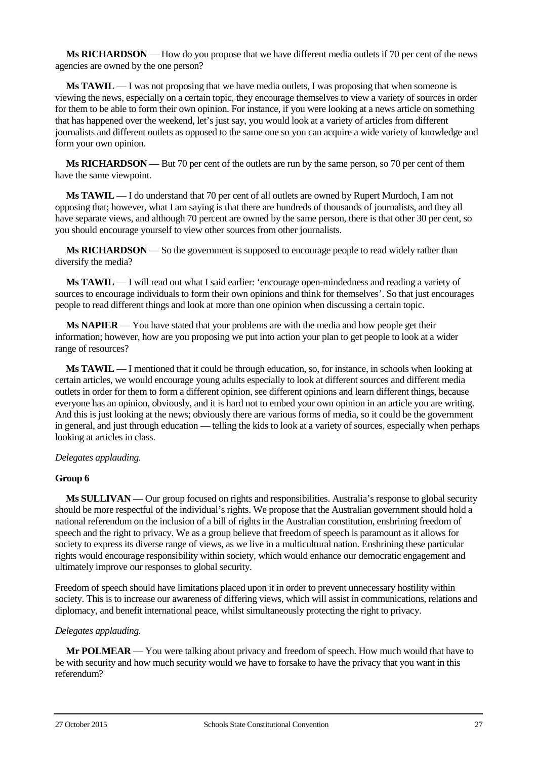**Ms RICHARDSON** — How do you propose that we have different media outlets if 70 per cent of the news agencies are owned by the one person?

**Ms TAWIL** — I was not proposing that we have media outlets, I was proposing that when someone is viewing the news, especially on a certain topic, they encourage themselves to view a variety of sources in order for them to be able to form their own opinion. For instance, if you were looking at a news article on something that has happened over the weekend, let's just say, you would look at a variety of articles from different journalists and different outlets as opposed to the same one so you can acquire a wide variety of knowledge and form your own opinion.

**Ms RICHARDSON** — But 70 per cent of the outlets are run by the same person, so 70 per cent of them have the same viewpoint.

**Ms TAWIL** — I do understand that 70 per cent of all outlets are owned by Rupert Murdoch, I am not opposing that; however, what I am saying is that there are hundreds of thousands of journalists, and they all have separate views, and although 70 percent are owned by the same person, there is that other 30 per cent, so you should encourage yourself to view other sources from other journalists.

**Ms RICHARDSON** — So the government is supposed to encourage people to read widely rather than diversify the media?

**Ms TAWIL** — I will read out what I said earlier: 'encourage open-mindedness and reading a variety of sources to encourage individuals to form their own opinions and think for themselves'. So that just encourages people to read different things and look at more than one opinion when discussing a certain topic.

**Ms NAPIER** — You have stated that your problems are with the media and how people get their information; however, how are you proposing we put into action your plan to get people to look at a wider range of resources?

**Ms TAWIL** — I mentioned that it could be through education, so, for instance, in schools when looking at certain articles, we would encourage young adults especially to look at different sources and different media outlets in order for them to form a different opinion, see different opinions and learn different things, because everyone has an opinion, obviously, and it is hard not to embed your own opinion in an article you are writing. And this is just looking at the news; obviously there are various forms of media, so it could be the government in general, and just through education — telling the kids to look at a variety of sources, especially when perhaps looking at articles in class.

### *Delegates applauding.*

### **Group 6**

**Ms SULLIVAN** — Our group focused on rights and responsibilities. Australia's response to global security should be more respectful of the individual's rights. We propose that the Australian government should hold a national referendum on the inclusion of a bill of rights in the Australian constitution, enshrining freedom of speech and the right to privacy. We as a group believe that freedom of speech is paramount as it allows for society to express its diverse range of views, as we live in a multicultural nation. Enshrining these particular rights would encourage responsibility within society, which would enhance our democratic engagement and ultimately improve our responses to global security.

Freedom of speech should have limitations placed upon it in order to prevent unnecessary hostility within society. This is to increase our awareness of differing views, which will assist in communications, relations and diplomacy, and benefit international peace, whilst simultaneously protecting the right to privacy.

# *Delegates applauding.*

**Mr POLMEAR** — You were talking about privacy and freedom of speech. How much would that have to be with security and how much security would we have to forsake to have the privacy that you want in this referendum?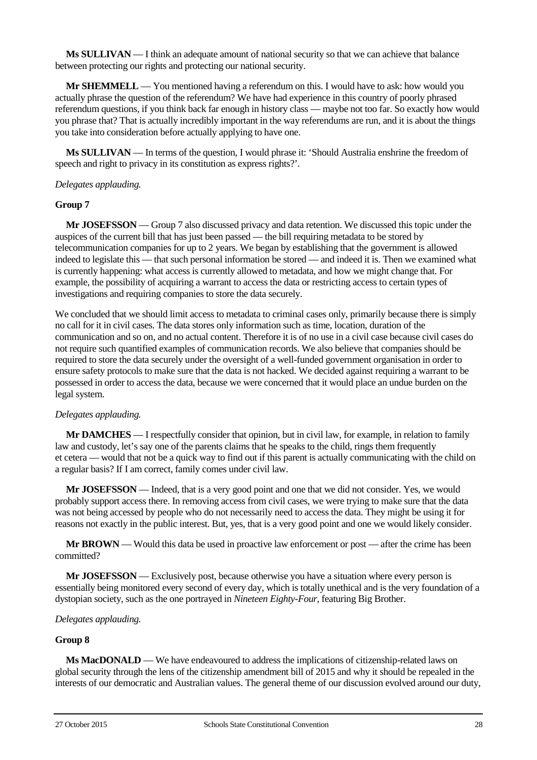**Ms SULLIVAN** — I think an adequate amount of national security so that we can achieve that balance between protecting our rights and protecting our national security.

**Mr SHEMMELL** — You mentioned having a referendum on this. I would have to ask: how would you actually phrase the question of the referendum? We have had experience in this country of poorly phrased referendum questions, if you think back far enough in history class — maybe not too far. So exactly how would you phrase that? That is actually incredibly important in the way referendums are run, and it is about the things you take into consideration before actually applying to have one.

**Ms SULLIVAN** — In terms of the question, I would phrase it: 'Should Australia enshrine the freedom of speech and right to privacy in its constitution as express rights?'.

#### *Delegates applauding.*

#### **Group 7**

**Mr JOSEFSSON** — Group 7 also discussed privacy and data retention. We discussed this topic under the auspices of the current bill that has just been passed — the bill requiring metadata to be stored by telecommunication companies for up to 2 years. We began by establishing that the government is allowed indeed to legislate this — that such personal information be stored — and indeed it is. Then we examined what is currently happening: what access is currently allowed to metadata, and how we might change that. For example, the possibility of acquiring a warrant to access the data or restricting access to certain types of investigations and requiring companies to store the data securely.

We concluded that we should limit access to metadata to criminal cases only, primarily because there is simply no call for it in civil cases. The data stores only information such as time, location, duration of the communication and so on, and no actual content. Therefore it is of no use in a civil case because civil cases do not require such quantified examples of communication records. We also believe that companies should be required to store the data securely under the oversight of a well-funded government organisation in order to ensure safety protocols to make sure that the data is not hacked. We decided against requiring a warrant to be possessed in order to access the data, because we were concerned that it would place an undue burden on the legal system.

### *Delegates applauding.*

**Mr DAMCHES** — I respectfully consider that opinion, but in civil law, for example, in relation to family law and custody, let's say one of the parents claims that he speaks to the child, rings them frequently et cetera — would that not be a quick way to find out if this parent is actually communicating with the child on a regular basis? If I am correct, family comes under civil law.

**Mr JOSEFSSON** — Indeed, that is a very good point and one that we did not consider. Yes, we would probably support access there. In removing access from civil cases, we were trying to make sure that the data was not being accessed by people who do not necessarily need to access the data. They might be using it for reasons not exactly in the public interest. But, yes, that is a very good point and one we would likely consider.

**Mr BROWN** — Would this data be used in proactive law enforcement or post — after the crime has been committed?

**Mr JOSEFSSON** — Exclusively post, because otherwise you have a situation where every person is essentially being monitored every second of every day, which is totally unethical and is the very foundation of a dystopian society, such as the one portrayed in *Nineteen Eighty-Four*, featuring Big Brother.

#### *Delegates applauding.*

#### **Group 8**

**Ms MacDONALD** — We have endeavoured to address the implications of citizenship-related laws on global security through the lens of the citizenship amendment bill of 2015 and why it should be repealed in the interests of our democratic and Australian values. The general theme of our discussion evolved around our duty,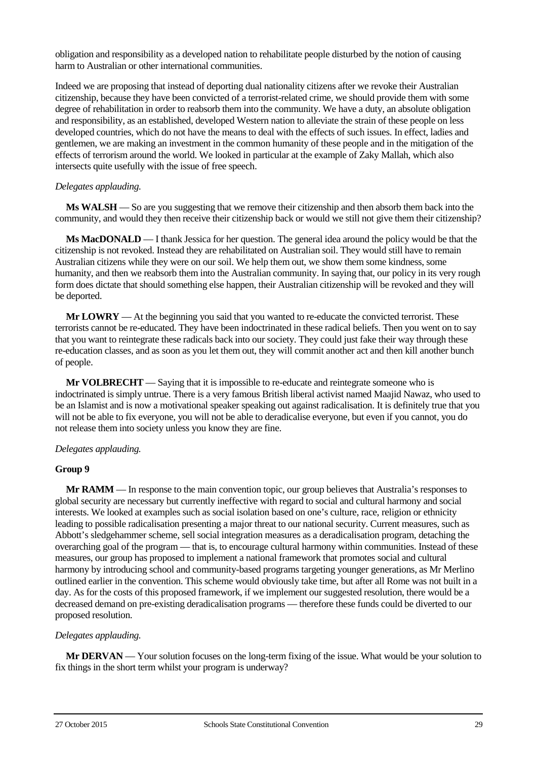obligation and responsibility as a developed nation to rehabilitate people disturbed by the notion of causing harm to Australian or other international communities.

Indeed we are proposing that instead of deporting dual nationality citizens after we revoke their Australian citizenship, because they have been convicted of a terrorist-related crime, we should provide them with some degree of rehabilitation in order to reabsorb them into the community. We have a duty, an absolute obligation and responsibility, as an established, developed Western nation to alleviate the strain of these people on less developed countries, which do not have the means to deal with the effects of such issues. In effect, ladies and gentlemen, we are making an investment in the common humanity of these people and in the mitigation of the effects of terrorism around the world. We looked in particular at the example of Zaky Mallah, which also intersects quite usefully with the issue of free speech.

### *Delegates applauding.*

**Ms WALSH** — So are you suggesting that we remove their citizenship and then absorb them back into the community, and would they then receive their citizenship back or would we still not give them their citizenship?

**Ms MacDONALD** — I thank Jessica for her question. The general idea around the policy would be that the citizenship is not revoked. Instead they are rehabilitated on Australian soil. They would still have to remain Australian citizens while they were on our soil. We help them out, we show them some kindness, some humanity, and then we reabsorb them into the Australian community. In saying that, our policy in its very rough form does dictate that should something else happen, their Australian citizenship will be revoked and they will be deported.

**Mr LOWRY** — At the beginning you said that you wanted to re-educate the convicted terrorist. These terrorists cannot be re-educated. They have been indoctrinated in these radical beliefs. Then you went on to say that you want to reintegrate these radicals back into our society. They could just fake their way through these re-education classes, and as soon as you let them out, they will commit another act and then kill another bunch of people.

**Mr VOLBRECHT** — Saying that it is impossible to re-educate and reintegrate someone who is indoctrinated is simply untrue. There is a very famous British liberal activist named Maajid Nawaz, who used to be an Islamist and is now a motivational speaker speaking out against radicalisation. It is definitely true that you will not be able to fix everyone, you will not be able to deradicalise everyone, but even if you cannot, you do not release them into society unless you know they are fine.

# *Delegates applauding.*

# **Group 9**

**Mr RAMM** — In response to the main convention topic, our group believes that Australia's responses to global security are necessary but currently ineffective with regard to social and cultural harmony and social interests. We looked at examples such as social isolation based on one's culture, race, religion or ethnicity leading to possible radicalisation presenting a major threat to our national security. Current measures, such as Abbott's sledgehammer scheme, sell social integration measures as a deradicalisation program, detaching the overarching goal of the program — that is, to encourage cultural harmony within communities. Instead of these measures, our group has proposed to implement a national framework that promotes social and cultural harmony by introducing school and community-based programs targeting younger generations, as Mr Merlino outlined earlier in the convention. This scheme would obviously take time, but after all Rome was not built in a day. As for the costs of this proposed framework, if we implement our suggested resolution, there would be a decreased demand on pre-existing deradicalisation programs — therefore these funds could be diverted to our proposed resolution.

# *Delegates applauding.*

**Mr DERVAN** — Your solution focuses on the long-term fixing of the issue. What would be your solution to fix things in the short term whilst your program is underway?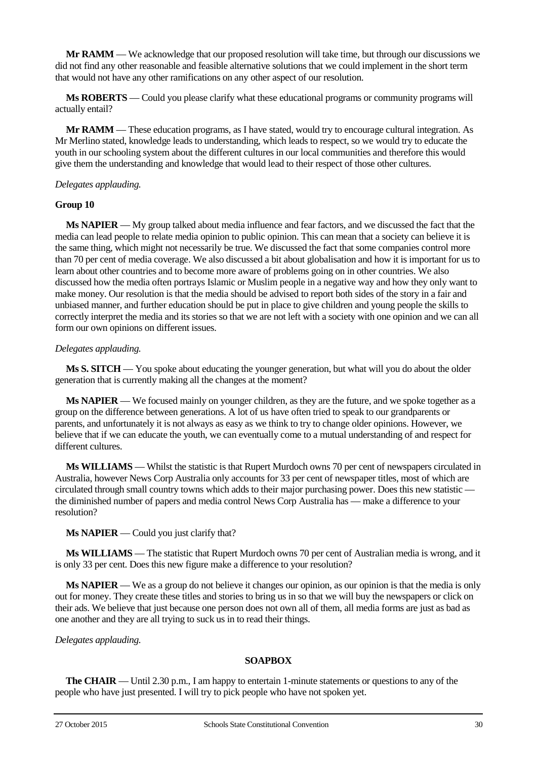**Mr RAMM** — We acknowledge that our proposed resolution will take time, but through our discussions we did not find any other reasonable and feasible alternative solutions that we could implement in the short term that would not have any other ramifications on any other aspect of our resolution.

**Ms ROBERTS** — Could you please clarify what these educational programs or community programs will actually entail?

**Mr RAMM** — These education programs, as I have stated, would try to encourage cultural integration. As Mr Merlino stated, knowledge leads to understanding, which leads to respect, so we would try to educate the youth in our schooling system about the different cultures in our local communities and therefore this would give them the understanding and knowledge that would lead to their respect of those other cultures.

#### *Delegates applauding.*

#### **Group 10**

**Ms NAPIER** — My group talked about media influence and fear factors, and we discussed the fact that the media can lead people to relate media opinion to public opinion. This can mean that a society can believe it is the same thing, which might not necessarily be true. We discussed the fact that some companies control more than 70 per cent of media coverage. We also discussed a bit about globalisation and how it is important for us to learn about other countries and to become more aware of problems going on in other countries. We also discussed how the media often portrays Islamic or Muslim people in a negative way and how they only want to make money. Our resolution is that the media should be advised to report both sides of the story in a fair and unbiased manner, and further education should be put in place to give children and young people the skills to correctly interpret the media and its stories so that we are not left with a society with one opinion and we can all form our own opinions on different issues.

### *Delegates applauding.*

**Ms S. SITCH** — You spoke about educating the younger generation, but what will you do about the older generation that is currently making all the changes at the moment?

**Ms NAPIER** — We focused mainly on younger children, as they are the future, and we spoke together as a group on the difference between generations. A lot of us have often tried to speak to our grandparents or parents, and unfortunately it is not always as easy as we think to try to change older opinions. However, we believe that if we can educate the youth, we can eventually come to a mutual understanding of and respect for different cultures.

**Ms WILLIAMS** — Whilst the statistic is that Rupert Murdoch owns 70 per cent of newspapers circulated in Australia, however News Corp Australia only accounts for 33 per cent of newspaper titles, most of which are circulated through small country towns which adds to their major purchasing power. Does this new statistic the diminished number of papers and media control News Corp Australia has — make a difference to your resolution?

### **Ms NAPIER** — Could you just clarify that?

**Ms WILLIAMS** — The statistic that Rupert Murdoch owns 70 per cent of Australian media is wrong, and it is only 33 per cent. Does this new figure make a difference to your resolution?

**Ms NAPIER** — We as a group do not believe it changes our opinion, as our opinion is that the media is only out for money. They create these titles and stories to bring us in so that we will buy the newspapers or click on their ads. We believe that just because one person does not own all of them, all media forms are just as bad as one another and they are all trying to suck us in to read their things.

*Delegates applauding.*

### **SOAPBOX**

**The CHAIR** — Until 2.30 p.m., I am happy to entertain 1-minute statements or questions to any of the people who have just presented. I will try to pick people who have not spoken yet.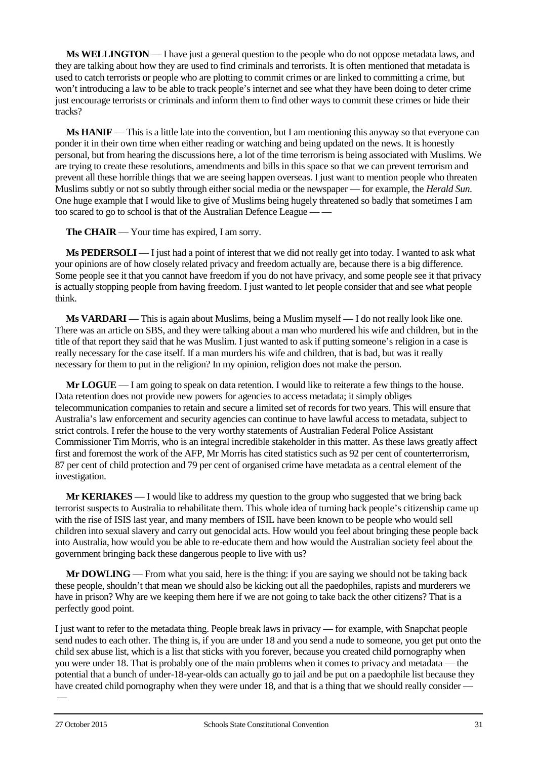**Ms WELLINGTON** — I have just a general question to the people who do not oppose metadata laws, and they are talking about how they are used to find criminals and terrorists. It is often mentioned that metadata is used to catch terrorists or people who are plotting to commit crimes or are linked to committing a crime, but won't introducing a law to be able to track people's internet and see what they have been doing to deter crime just encourage terrorists or criminals and inform them to find other ways to commit these crimes or hide their tracks?

**Ms HANIF** — This is a little late into the convention, but I am mentioning this anyway so that everyone can ponder it in their own time when either reading or watching and being updated on the news. It is honestly personal, but from hearing the discussions here, a lot of the time terrorism is being associated with Muslims. We are trying to create these resolutions, amendments and bills in this space so that we can prevent terrorism and prevent all these horrible things that we are seeing happen overseas. I just want to mention people who threaten Muslims subtly or not so subtly through either social media or the newspaper — for example, the *Herald Sun*. One huge example that I would like to give of Muslims being hugely threatened so badly that sometimes I am too scared to go to school is that of the Australian Defence League — —

**The CHAIR** — Your time has expired, I am sorry.

**Ms PEDERSOLI** — I just had a point of interest that we did not really get into today. I wanted to ask what your opinions are of how closely related privacy and freedom actually are, because there is a big difference. Some people see it that you cannot have freedom if you do not have privacy, and some people see it that privacy is actually stopping people from having freedom. I just wanted to let people consider that and see what people think.

**Ms VARDARI** — This is again about Muslims, being a Muslim myself — I do not really look like one. There was an article on SBS, and they were talking about a man who murdered his wife and children, but in the title of that report they said that he was Muslim. I just wanted to ask if putting someone's religion in a case is really necessary for the case itself. If a man murders his wife and children, that is bad, but was it really necessary for them to put in the religion? In my opinion, religion does not make the person.

**Mr LOGUE** — I am going to speak on data retention. I would like to reiterate a few things to the house. Data retention does not provide new powers for agencies to access metadata; it simply obliges telecommunication companies to retain and secure a limited set of records for two years. This will ensure that Australia's law enforcement and security agencies can continue to have lawful access to metadata, subject to strict controls. I refer the house to the very worthy statements of Australian Federal Police Assistant Commissioner Tim Morris, who is an integral incredible stakeholder in this matter. As these laws greatly affect first and foremost the work of the AFP, Mr Morris has cited statistics such as 92 per cent of counterterrorism, 87 per cent of child protection and 79 per cent of organised crime have metadata as a central element of the investigation.

**Mr KERIAKES** — I would like to address my question to the group who suggested that we bring back terrorist suspects to Australia to rehabilitate them. This whole idea of turning back people's citizenship came up with the rise of ISIS last year, and many members of ISIL have been known to be people who would sell children into sexual slavery and carry out genocidal acts. How would you feel about bringing these people back into Australia, how would you be able to re-educate them and how would the Australian society feel about the government bringing back these dangerous people to live with us?

**Mr DOWLING** — From what you said, here is the thing: if you are saying we should not be taking back these people, shouldn't that mean we should also be kicking out all the paedophiles, rapists and murderers we have in prison? Why are we keeping them here if we are not going to take back the other citizens? That is a perfectly good point.

I just want to refer to the metadata thing. People break laws in privacy — for example, with Snapchat people send nudes to each other. The thing is, if you are under 18 and you send a nude to someone, you get put onto the child sex abuse list, which is a list that sticks with you forever, because you created child pornography when you were under 18. That is probably one of the main problems when it comes to privacy and metadata — the potential that a bunch of under-18-year-olds can actually go to jail and be put on a paedophile list because they have created child pornography when they were under 18, and that is a thing that we should really consider —

—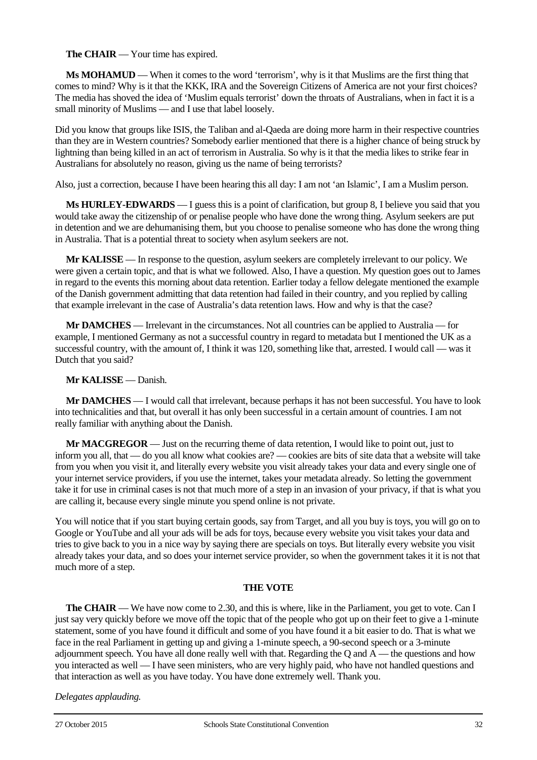**The CHAIR** — Your time has expired.

**Ms MOHAMUD** — When it comes to the word 'terrorism', why is it that Muslims are the first thing that comes to mind? Why is it that the KKK, IRA and the Sovereign Citizens of America are not your first choices? The media has shoved the idea of 'Muslim equals terrorist' down the throats of Australians, when in fact it is a small minority of Muslims — and I use that label loosely.

Did you know that groups like ISIS, the Taliban and al-Qaeda are doing more harm in their respective countries than they are in Western countries? Somebody earlier mentioned that there is a higher chance of being struck by lightning than being killed in an act of terrorism in Australia. So why is it that the media likes to strike fear in Australians for absolutely no reason, giving us the name of being terrorists?

Also, just a correction, because I have been hearing this all day: I am not 'an Islamic', I am a Muslim person.

**Ms HURLEY-EDWARDS** — I guess this is a point of clarification, but group 8, I believe you said that you would take away the citizenship of or penalise people who have done the wrong thing. Asylum seekers are put in detention and we are dehumanising them, but you choose to penalise someone who has done the wrong thing in Australia. That is a potential threat to society when asylum seekers are not.

**Mr KALISSE** — In response to the question, asylum seekers are completely irrelevant to our policy. We were given a certain topic, and that is what we followed. Also, I have a question. My question goes out to James in regard to the events this morning about data retention. Earlier today a fellow delegate mentioned the example of the Danish government admitting that data retention had failed in their country, and you replied by calling that example irrelevant in the case of Australia's data retention laws. How and why is that the case?

**Mr DAMCHES** — Irrelevant in the circumstances. Not all countries can be applied to Australia — for example, I mentioned Germany as not a successful country in regard to metadata but I mentioned the UK as a successful country, with the amount of, I think it was 120, something like that, arrested. I would call — was it Dutch that you said?

**Mr KALISSE** — Danish.

**Mr DAMCHES** — I would call that irrelevant, because perhaps it has not been successful. You have to look into technicalities and that, but overall it has only been successful in a certain amount of countries. I am not really familiar with anything about the Danish.

**Mr MACGREGOR** — Just on the recurring theme of data retention, I would like to point out, just to inform you all, that — do you all know what cookies are? — cookies are bits of site data that a website will take from you when you visit it, and literally every website you visit already takes your data and every single one of your internet service providers, if you use the internet, takes your metadata already. So letting the government take it for use in criminal cases is not that much more of a step in an invasion of your privacy, if that is what you are calling it, because every single minute you spend online is not private.

You will notice that if you start buying certain goods, say from Target, and all you buy is toys, you will go on to Google or YouTube and all your ads will be ads for toys, because every website you visit takes your data and tries to give back to you in a nice way by saying there are specials on toys. But literally every website you visit already takes your data, and so does your internet service provider, so when the government takes it it is not that much more of a step.

# **THE VOTE**

**The CHAIR** — We have now come to 2.30, and this is where, like in the Parliament, you get to vote. Can I just say very quickly before we move off the topic that of the people who got up on their feet to give a 1-minute statement, some of you have found it difficult and some of you have found it a bit easier to do. That is what we face in the real Parliament in getting up and giving a 1-minute speech, a 90-second speech or a 3-minute adjournment speech. You have all done really well with that. Regarding the Q and A — the questions and how you interacted as well — I have seen ministers, who are very highly paid, who have not handled questions and that interaction as well as you have today. You have done extremely well. Thank you.

*Delegates applauding.*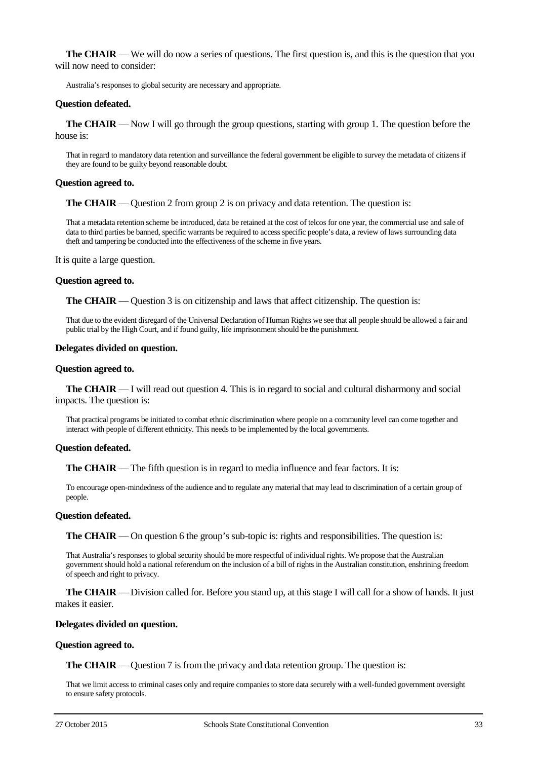**The CHAIR** — We will do now a series of questions. The first question is, and this is the question that you will now need to consider:

Australia's responses to global security are necessary and appropriate.

#### **Question defeated.**

**The CHAIR** — Now I will go through the group questions, starting with group 1. The question before the house is:

That in regard to mandatory data retention and surveillance the federal government be eligible to survey the metadata of citizens if they are found to be guilty beyond reasonable doubt.

#### **Question agreed to.**

**The CHAIR** — Question 2 from group 2 is on privacy and data retention. The question is:

That a metadata retention scheme be introduced, data be retained at the cost of telcos for one year, the commercial use and sale of data to third parties be banned, specific warrants be required to access specific people's data, a review of laws surrounding data theft and tampering be conducted into the effectiveness of the scheme in five years.

It is quite a large question.

#### **Question agreed to.**

**The CHAIR** — Question 3 is on citizenship and laws that affect citizenship. The question is:

That due to the evident disregard of the Universal Declaration of Human Rights we see that all people should be allowed a fair and public trial by the High Court, and if found guilty, life imprisonment should be the punishment.

#### **Delegates divided on question.**

#### **Question agreed to.**

**The CHAIR** — I will read out question 4. This is in regard to social and cultural disharmony and social impacts. The question is:

That practical programs be initiated to combat ethnic discrimination where people on a community level can come together and interact with people of different ethnicity. This needs to be implemented by the local governments.

#### **Question defeated.**

**The CHAIR** — The fifth question is in regard to media influence and fear factors. It is:

To encourage open-mindedness of the audience and to regulate any material that may lead to discrimination of a certain group of people.

#### **Question defeated.**

**The CHAIR** — On question 6 the group's sub-topic is: rights and responsibilities. The question is:

That Australia's responses to global security should be more respectful of individual rights. We propose that the Australian government should hold a national referendum on the inclusion of a bill of rights in the Australian constitution, enshrining freedom of speech and right to privacy.

**The CHAIR** — Division called for. Before you stand up, at this stage I will call for a show of hands. It just makes it easier.

#### **Delegates divided on question.**

#### **Question agreed to.**

**The CHAIR** — Question 7 is from the privacy and data retention group. The question is:

That we limit access to criminal cases only and require companies to store data securely with a well-funded government oversight to ensure safety protocols.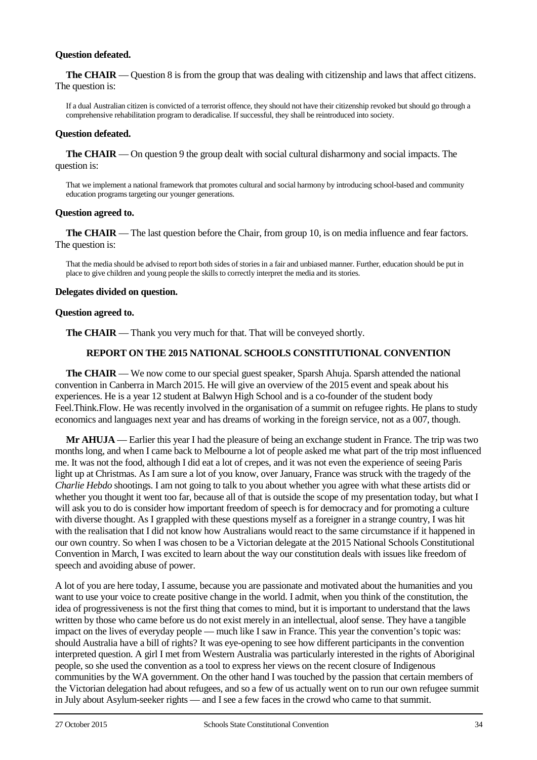#### **Question defeated.**

**The CHAIR** — Question 8 is from the group that was dealing with citizenship and laws that affect citizens. The question is:

If a dual Australian citizen is convicted of a terrorist offence, they should not have their citizenship revoked but should go through a comprehensive rehabilitation program to deradicalise. If successful, they shall be reintroduced into society.

#### **Question defeated.**

**The CHAIR** — On question 9 the group dealt with social cultural disharmony and social impacts. The question is:

That we implement a national framework that promotes cultural and social harmony by introducing school-based and community education programs targeting our younger generations.

#### **Question agreed to.**

**The CHAIR** — The last question before the Chair, from group 10, is on media influence and fear factors. The question is:

That the media should be advised to report both sides of stories in a fair and unbiased manner. Further, education should be put in place to give children and young people the skills to correctly interpret the media and its stories.

#### **Delegates divided on question.**

#### **Question agreed to.**

**The CHAIR** — Thank you very much for that. That will be conveyed shortly.

#### **REPORT ON THE 2015 NATIONAL SCHOOLS CONSTITUTIONAL CONVENTION**

**The CHAIR** — We now come to our special guest speaker, Sparsh Ahuja. Sparsh attended the national convention in Canberra in March 2015. He will give an overview of the 2015 event and speak about his experiences. He is a year 12 student at Balwyn High School and is a co-founder of the student body Feel.Think.Flow. He was recently involved in the organisation of a summit on refugee rights. He plans to study economics and languages next year and has dreams of working in the foreign service, not as a 007, though.

**Mr AHUJA** — Earlier this year I had the pleasure of being an exchange student in France. The trip was two months long, and when I came back to Melbourne a lot of people asked me what part of the trip most influenced me. It was not the food, although I did eat a lot of crepes, and it was not even the experience of seeing Paris light up at Christmas. As I am sure a lot of you know, over January, France was struck with the tragedy of the *Charlie Hebdo* shootings. I am not going to talk to you about whether you agree with what these artists did or whether you thought it went too far, because all of that is outside the scope of my presentation today, but what I will ask you to do is consider how important freedom of speech is for democracy and for promoting a culture with diverse thought. As I grappled with these questions myself as a foreigner in a strange country, I was hit with the realisation that I did not know how Australians would react to the same circumstance if it happened in our own country. So when I was chosen to be a Victorian delegate at the 2015 National Schools Constitutional Convention in March, I was excited to learn about the way our constitution deals with issues like freedom of speech and avoiding abuse of power.

A lot of you are here today, I assume, because you are passionate and motivated about the humanities and you want to use your voice to create positive change in the world. I admit, when you think of the constitution, the idea of progressiveness is not the first thing that comes to mind, but it is important to understand that the laws written by those who came before us do not exist merely in an intellectual, aloof sense. They have a tangible impact on the lives of everyday people — much like I saw in France. This year the convention's topic was: should Australia have a bill of rights? It was eye-opening to see how different participants in the convention interpreted question. A girl I met from Western Australia was particularly interested in the rights of Aboriginal people, so she used the convention as a tool to express her views on the recent closure of Indigenous communities by the WA government. On the other hand I was touched by the passion that certain members of the Victorian delegation had about refugees, and so a few of us actually went on to run our own refugee summit in July about Asylum-seeker rights — and I see a few faces in the crowd who came to that summit.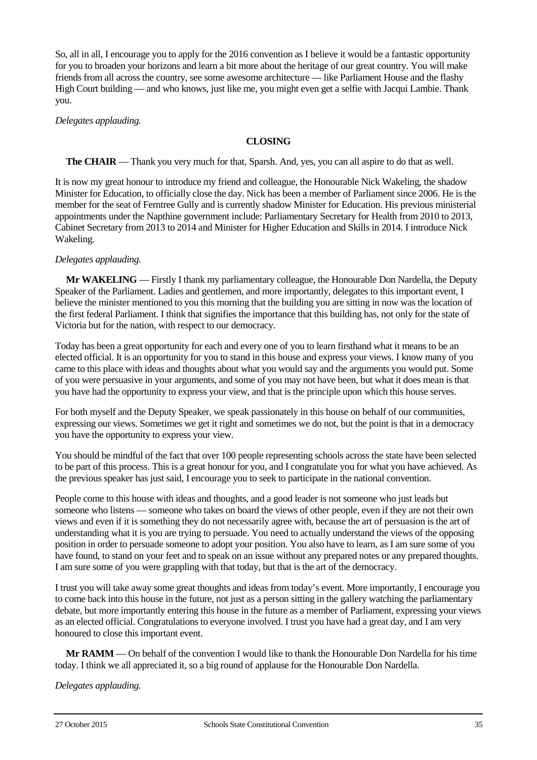So, all in all, I encourage you to apply for the 2016 convention as I believe it would be a fantastic opportunity for you to broaden your horizons and learn a bit more about the heritage of our great country. You will make friends from all across the country, see some awesome architecture — like Parliament House and the flashy High Court building — and who knows, just like me, you might even get a selfie with Jacqui Lambie. Thank you.

*Delegates applauding.*

### **CLOSING**

### **The CHAIR** — Thank you very much for that, Sparsh. And, yes, you can all aspire to do that as well.

It is now my great honour to introduce my friend and colleague, the Honourable Nick Wakeling, the shadow Minister for Education, to officially close the day. Nick has been a member of Parliament since 2006. He is the member for the seat of Ferntree Gully and is currently shadow Minister for Education. His previous ministerial appointments under the Napthine government include: Parliamentary Secretary for Health from 2010 to 2013, Cabinet Secretary from 2013 to 2014 and Minister for Higher Education and Skills in 2014. I introduce Nick Wakeling.

### *Delegates applauding.*

**Mr WAKELING** — Firstly I thank my parliamentary colleague, the Honourable Don Nardella, the Deputy Speaker of the Parliament. Ladies and gentlemen, and more importantly, delegates to this important event, I believe the minister mentioned to you this morning that the building you are sitting in now was the location of the first federal Parliament. I think that signifies the importance that this building has, not only for the state of Victoria but for the nation, with respect to our democracy.

Today has been a great opportunity for each and every one of you to learn firsthand what it means to be an elected official. It is an opportunity for you to stand in this house and express your views. I know many of you came to this place with ideas and thoughts about what you would say and the arguments you would put. Some of you were persuasive in your arguments, and some of you may not have been, but what it does mean is that you have had the opportunity to express your view, and that is the principle upon which this house serves.

For both myself and the Deputy Speaker, we speak passionately in this house on behalf of our communities, expressing our views. Sometimes we get it right and sometimes we do not, but the point is that in a democracy you have the opportunity to express your view.

You should be mindful of the fact that over 100 people representing schools across the state have been selected to be part of this process. This is a great honour for you, and I congratulate you for what you have achieved. As the previous speaker has just said, I encourage you to seek to participate in the national convention.

People come to this house with ideas and thoughts, and a good leader is not someone who just leads but someone who listens — someone who takes on board the views of other people, even if they are not their own views and even if it is something they do not necessarily agree with, because the art of persuasion is the art of understanding what it is you are trying to persuade. You need to actually understand the views of the opposing position in order to persuade someone to adopt your position. You also have to learn, as I am sure some of you have found, to stand on your feet and to speak on an issue without any prepared notes or any prepared thoughts. I am sure some of you were grappling with that today, but that is the art of the democracy.

I trust you will take away some great thoughts and ideas from today's event. More importantly, I encourage you to come back into this house in the future, not just as a person sitting in the gallery watching the parliamentary debate, but more importantly entering this house in the future as a member of Parliament, expressing your views as an elected official. Congratulations to everyone involved. I trust you have had a great day, and I am very honoured to close this important event.

**Mr RAMM** — On behalf of the convention I would like to thank the Honourable Don Nardella for his time today. I think we all appreciated it, so a big round of applause for the Honourable Don Nardella.

*Delegates applauding.*